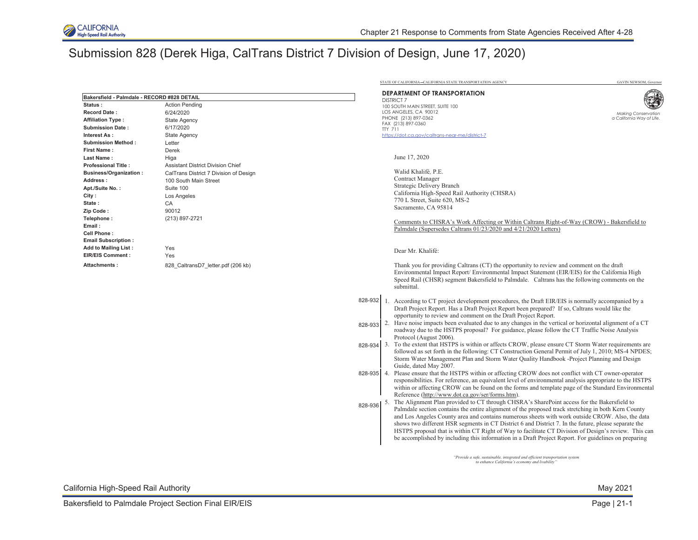

STATE OF CALIFORNIA-CALIFORNIA STATE TRANSPORTATION

# Submission 828 (Derek Higa, CalTrans District 7 Division of Design, June 17, 2020)

| Bakersfield - Palmdale - RECORD #828 DETAIL |                                        |         |
|---------------------------------------------|----------------------------------------|---------|
| Status:                                     | <b>Action Pending</b>                  |         |
| <b>Record Date:</b>                         | 6/24/2020                              |         |
| <b>Affiliation Type:</b>                    | <b>State Agency</b>                    |         |
| <b>Submission Date:</b>                     | 6/17/2020                              |         |
| Interest As:                                | <b>State Agency</b>                    |         |
| <b>Submission Method:</b>                   | Letter                                 |         |
| <b>First Name:</b>                          | Derek                                  |         |
| Last Name:                                  | Higa                                   |         |
| <b>Professional Title:</b>                  | Assistant District Division Chief      |         |
| <b>Business/Organization:</b>               | CalTrans District 7 Division of Design |         |
| Address:                                    | 100 South Main Street                  |         |
| Apt./Suite No.:                             | Suite 100                              |         |
| City:                                       | Los Angeles                            |         |
| State:                                      | CA                                     |         |
| Zip Code:                                   | 90012                                  |         |
| Telephone:                                  | (213) 897-2721                         |         |
| Email:                                      |                                        |         |
| Cell Phone:                                 |                                        |         |
| <b>Email Subscription:</b>                  |                                        |         |
| <b>Add to Mailing List:</b>                 | Yes                                    |         |
| <b>EIR/EIS Comment:</b>                     | Yes                                    |         |
| Attachments:                                | 828 CaltransD7 letter.pdf (206 kb)     |         |
|                                             |                                        |         |
|                                             |                                        |         |
|                                             |                                        | 828-932 |
|                                             |                                        |         |

#### **DEPARTMENT OF TRANSPORTATION**  DISTRICT 7 100 SOUTH MAIN STREET, SUITE 100 LOS ANGELES, CA 90012 PHONE (213) 897-0362 FAX (213) 897-0360 TTY 711 <https://dot.ca.gov/caltrans-near-me/district-7> *Making Conservation a California Way of Life.*  June 17, 2020 Walid Khalifé*,* P.E. Contract Manager Strategic Delivery Branch California High-Speed Rail Authority (CHSRA) 770 L Street, Suite 620, MS-2 Sacramento, CA 95814 Comments to CHSRA's Work Affecting or Within Caltrans Right-of-Way (CROW) - Bakersfield to Palmdale (Supersedes Caltrans 01/23/2020 and 4/21/2020 Letters) Dear Mr. Khalifé: Thank you for providing Caltrans (CT) the opportunity to review and comment on the draft Environmental Impact Report/ Environmental Impact Statement (EIR/EIS) for the California High Speed Rail (CHSR) segment Bakersfield to Palmdale. Caltrans has the following comments on the submittal. 828-933 828-934 828-935 828-936 1. According to CT project development procedures, the Draft EIR/EIS is normally accompanied by a Draft Project Report. Has a Draft Project Report been prepared? If so, Caltrans would like the opportunity to review and comment on the Draft Project Report. 2. Have noise impacts been evaluated due to any changes in the vertical or horizontal alignment of a CT roadway due to the HSTPS proposal? For guidance, please follow the CT Traffic Noise Analysis Protocol (August 2006). 3. To the extent that HSTPS is within or affects CROW, please ensure CT Storm Water requirements are followed as set forth in the following: CT Construction General Permit of July 1, 2010; MS-4 NPDES; Storm Water Management Plan and Storm Water Quality Handbook -Project Planning and Design Guide, dated May 2007. 4. Please ensure that the HSTPS within or affecting CROW does not conflict with CT owner-operator responsibilities. For reference, an equivalent level of environmental analysis appropriate to the HSTPS within or affecting CROW can be found on the forms and template page of the Standard Environmental Reference [\(http://www.dot.ca.gov/ser/forms.htm\)](http://www.dot.ca.gov/ser/forms.htm). 5. The Alignment Plan provided to CT through CHSRA's SharePoint access for the Bakersfield to Palmdale section contains the entire alignment of the proposed track stretching in both Kern County and Los Angeles County area and contains numerous sheets with work outside CROW. Also, the data shows two different HSR segments in CT District 6 and District 7. In the future, please separate the HSTPS proposal that is within CT Right of Way to facilitate CT Division of Design's review. This can be accomplished by including this information in a Draft Project Report. For guidelines on preparing

*"Provide a safe, sustainable, integrated and efficient transportation system to enhance California's economy and livability"*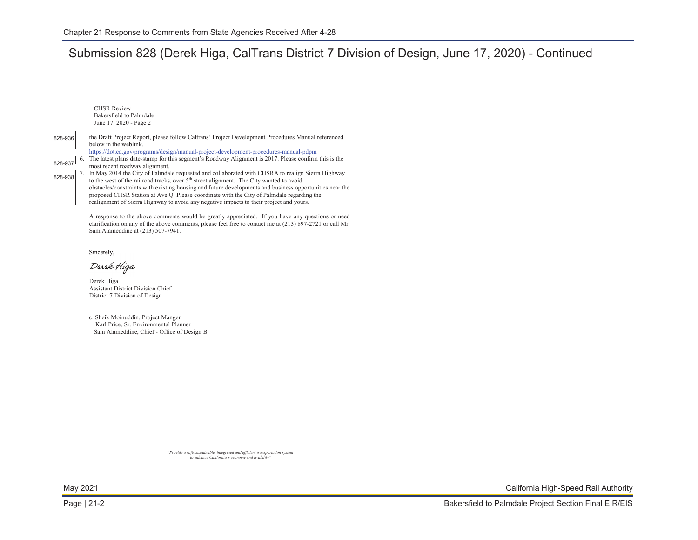# Submission 828 (Derek Higa, CalTrans District 7 Division of Design, June 17, 2020) - Continued

CHSR Review Bakersfield to Palmdale June 17, 2020 - Page 2

the Draft Project Report, please follow Caltrans' Project Development Procedures Manual referenced below in the weblink. 828-936

 $828-937$ <https://dot.ca.gov/programs/design/manual-project-development-procedures-manual-pdpm> 6. The latest plans date-stamp for this segment's Roadway Alignment is 2017. Please confirm this is the most recent roadway alignment.

828-938 7. In May 2014 the City of Palmdale requested and collaborated with CHSRA to realign Sierra Highway to the west of the railroad tracks, over 5<sup>th</sup> street alignment. The City wanted to avoid obstacles/constraints with existing housing and future developments and business opportunities near the proposed CHSR Station at Ave Q. Please coordinate with the City of Palmdale regarding the realignment of Sierra Highway to avoid any negative impacts to their project and yours.

> A response to the above comments would be greatly appreciated. If you have any questions or need clarification on any of the above comments, please feel free to contact me at (213) 897-2721 or call Mr. Sam Alameddine at (213) 507-7941.

Sincerely, Sincerely,

Derek Higa

Derek Higa Assistant District Division Chief District 7 Division of Design

c. Sheik Moinuddin, Project Manger Karl Price, Sr. Environmental Planner Sam Alameddine, Chief - Office of Design B

> *"Provide a safe, sustainable, integrated and efficient transportation system*  to enhance California's economy and livability

May 2021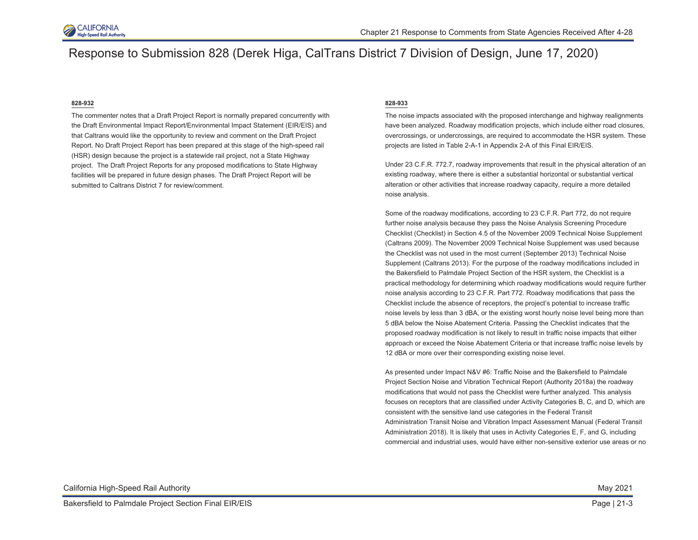

# Response to Submission 828 (Derek Higa, CalTrans District 7 Division of Design, June 17, 2020)

## **828-932**

The commenter notes that a Draft Project Report is normally prepared concurrently with the Draft Environmental Impact Report/Environmental Impact Statement (EIR/EIS) and that Caltrans would like the opportunity to review and comment on the Draft Project Report. No Draft Project Report has been prepared at this stage of the high-speed rail (HSR) design because the project is a statewide rail project, not a State Highway project. The Draft Project Reports for any proposed modifications to State Highway facilities will be prepared in future design phases. The Draft Project Report will be submitted to Caltrans District 7 for review/comment.

## **828-933**

The noise impacts associated with the proposed interchange and highway realignments have been analyzed. Roadway modification projects, which include either road closures, overcrossings, or undercrossings, are required to accommodate the HSR system. These projects are listed in Table 2-A-1 in Appendix 2-A of this Final EIR/EIS.

Under 23 C.F.R. 772.7, roadway improvements that result in the physical alteration of an existing roadway, where there is either a substantial horizontal or substantial vertical alteration or other activities that increase roadway capacity, require a more detailed noise analysis.

Some of the roadway modifications, according to 23 C.F.R. Part 772, do not require further noise analysis because they pass the Noise Analysis Screening Procedure Checklist (Checklist) in Section 4.5 of the November 2009 Technical Noise Supplement (Caltrans 2009). The November 2009 Technical Noise Supplement was used because the Checklist was not used in the most current (September 2013) Technical Noise Supplement (Caltrans 2013). For the purpose of the roadway modifications included in the Bakersfield to Palmdale Project Section of the HSR system, the Checklist is a practical methodology for determining which roadway modifications would require further noise analysis according to 23 C.F.R. Part 772. Roadway modifications that pass the Checklist include the absence of receptors, the project's potential to increase traffic noise levels by less than 3 dBA, or the existing worst hourly noise level being more than 5 dBA below the Noise Abatement Criteria. Passing the Checklist indicates that the proposed roadway modification is not likely to result in traffic noise impacts that either approach or exceed the Noise Abatement Criteria or that increase traffic noise levels by 12 dBA or more over their corresponding existing noise level.

As presented under Impact N&V #6: Traffic Noise and the Bakersfield to Palmdale Project Section Noise and Vibration Technical Report (Authority 2018a) the roadway modifications that would not pass the Checklist were further analyzed. This analysis focuses on receptors that are classified under Activity Categories B, C, and D, which are consistent with the sensitive land use categories in the Federal Transit Administration Transit Noise and Vibration Impact Assessment Manual (Federal Transit Administration 2018). It is likely that uses in Activity Categories E, F, and G, including commercial and industrial uses, would have either non-sensitive exterior use areas or no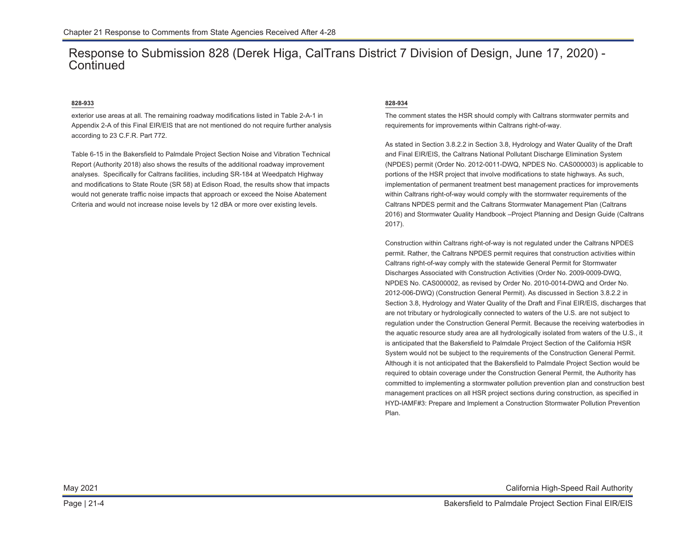## Response to Submission 828 (Derek Higa, CalTrans District 7 Division of Design, June 17, 2020) - **Continued**

## **828-933**

exterior use areas at all. The remaining roadway modifications listed in Table 2-A-1 in Appendix 2-A of this Final EIR/EIS that are not mentioned do not require further analysis according to 23 C.F.R. Part 772.

Table 6-15 in the Bakersfield to Palmdale Project Section Noise and Vibration Technical Report (Authority 2018) also shows the results of the additional roadway improvement analyses. Specifically for Caltrans facilities, including SR-184 at Weedpatch Highway and modifications to State Route (SR 58) at Edison Road, the results show that impacts would not generate traffic noise impacts that approach or exceed the Noise Abatement Criteria and would not increase noise levels by 12 dBA or more over existing levels.

## **828-934**

The comment states the HSR should comply with Caltrans stormwater permits and requirements for improvements within Caltrans right-of-way.

As stated in Section 3.8.2.2 in Section 3.8, Hydrology and Water Quality of the Draft and Final EIR/EIS, the Caltrans National Pollutant Discharge Elimination System (NPDES) permit (Order No. 2012-0011-DWQ, NPDES No. CAS000003) is applicable to portions of the HSR project that involve modifications to state highways. As such, implementation of permanent treatment best management practices for improvements within Caltrans right-of-way would comply with the stormwater requirements of the Caltrans NPDES permit and the Caltrans Stormwater Management Plan (Caltrans 2016) and Stormwater Quality Handbook –Project Planning and Design Guide (Caltrans 2017).

Construction within Caltrans right-of-way is not regulated under the Caltrans NPDES permit. Rather, the Caltrans NPDES permit requires that construction activities within Caltrans right-of-way comply with the statewide General Permit for Stormwater Discharges Associated with Construction Activities (Order No. 2009-0009-DWQ, NPDES No. CAS000002, as revised by Order No. 2010-0014-DWQ and Order No. 2012-006-DWQ) (Construction General Permit). As discussed in Section 3.8.2.2 in Section 3.8, Hydrology and Water Quality of the Draft and Final EIR/EIS, discharges that are not tributary or hydrologically connected to waters of the U.S. are not subject to regulation under the Construction General Permit. Because the receiving waterbodies in the aquatic resource study area are all hydrologically isolated from waters of the U.S., it is anticipated that the Bakersfield to Palmdale Project Section of the California HSR System would not be subject to the requirements of the Construction General Permit. Although it is not anticipated that the Bakersfield to Palmdale Project Section would be required to obtain coverage under the Construction General Permit, the Authority has committed to implementing a stormwater pollution prevention plan and construction best management practices on all HSR project sections during construction, as specified in HYD-IAMF#3: Prepare and Implement a Construction Stormwater Pollution Prevention Plan.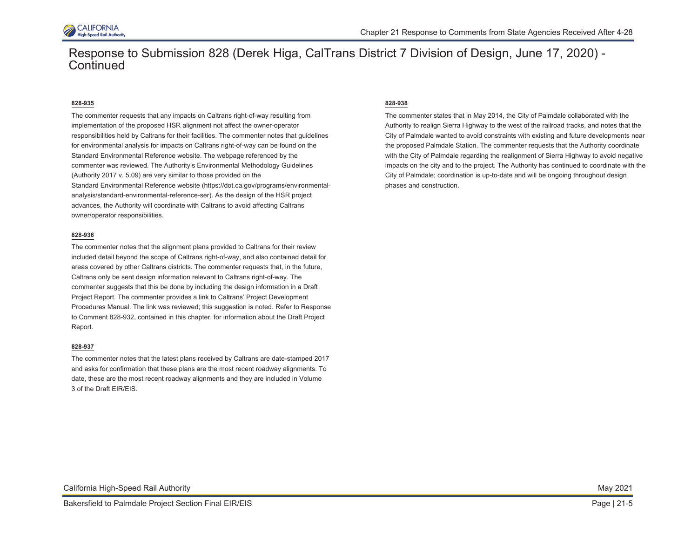

## Response to Submission 828 (Derek Higa, CalTrans District 7 Division of Design, June 17, 2020) - **Continued**

## **828-935**

The commenter requests that any impacts on Caltrans right-of-way resulting from implementation of the proposed HSR alignment not affect the owner-operator responsibilities held by Caltrans for their facilities. The commenter notes that guidelines for environmental analysis for impacts on Caltrans right-of-way can be found on the Standard Environmental Reference website. The webpage referenced by the commenter was reviewed. The Authority's Environmental Methodology Guidelines (Authority 2017 v. 5.09) are very similar to those provided on the Standard Environmental Reference website (https://dot.ca.gov/programs/environmentalanalysis/standard-environmental-reference-ser). As the design of the HSR project advances, the Authority will coordinate with Caltrans to avoid affecting Caltrans owner/operator responsibilities.

### **828-936**

The commenter notes that the alignment plans provided to Caltrans for their review included detail beyond the scope of Caltrans right-of-way, and also contained detail for areas covered by other Caltrans districts. The commenter requests that, in the future, Caltrans only be sent design information relevant to Caltrans right-of-way. The commenter suggests that this be done by including the design information in a Draft Project Report. The commenter provides a link to Caltrans' Project Development Procedures Manual. The link was reviewed; this suggestion is noted. Refer to Response to Comment 828-932, contained in this chapter, for information about the Draft Project Report.

### **828-937**

The commenter notes that the latest plans received by Caltrans are date-stamped 2017 and asks for confirmation that these plans are the most recent roadway alignments. To date, these are the most recent roadway alignments and they are included in Volume 3 of the Draft EIR/EIS.

## **828-938**

The commenter states that in May 2014, the City of Palmdale collaborated with the Authority to realign Sierra Highway to the west of the railroad tracks, and notes that the City of Palmdale wanted to avoid constraints with existing and future developments near the proposed Palmdale Station. The commenter requests that the Authority coordinate with the City of Palmdale regarding the realignment of Sierra Highway to avoid negative impacts on the city and to the project. The Authority has continued to coordinate with the City of Palmdale; coordination is up-to-date and will be ongoing throughout design phases and construction.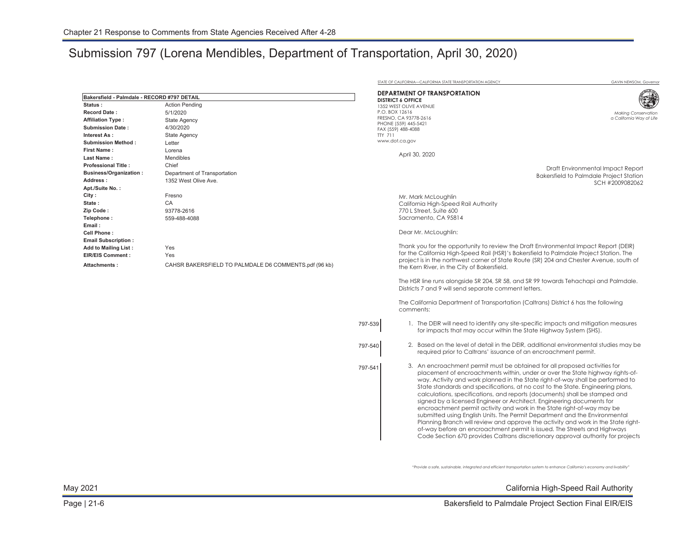# Submission 797 (Lorena Mendibles, Department of Transportation, April 30, 2020)

| Bakersfield - Palmdale - RECORD #797 DETAIL |                                                       |                | <b>DEPARTMENT OF TRANSPORTATION</b>                                                                                                                 |                                                                                                                                                                                                                                                                                                                                                                                                                                                                                                                                                                                                                                                                                                                                               |
|---------------------------------------------|-------------------------------------------------------|----------------|-----------------------------------------------------------------------------------------------------------------------------------------------------|-----------------------------------------------------------------------------------------------------------------------------------------------------------------------------------------------------------------------------------------------------------------------------------------------------------------------------------------------------------------------------------------------------------------------------------------------------------------------------------------------------------------------------------------------------------------------------------------------------------------------------------------------------------------------------------------------------------------------------------------------|
| <b>Status :</b>                             | <b>Action Pending</b>                                 |                | <b>DISTRICT 6 OFFICE</b><br>1352 WEST OLIVE AVENUE                                                                                                  |                                                                                                                                                                                                                                                                                                                                                                                                                                                                                                                                                                                                                                                                                                                                               |
| <b>Record Date:</b>                         | 5/1/2020                                              |                | P.O. BOX 12616                                                                                                                                      | <b>Making Conservation</b>                                                                                                                                                                                                                                                                                                                                                                                                                                                                                                                                                                                                                                                                                                                    |
| <b>Affiliation Type:</b>                    | State Agency                                          |                | FRESNO, CA 93778-2616                                                                                                                               | a California Way of Life                                                                                                                                                                                                                                                                                                                                                                                                                                                                                                                                                                                                                                                                                                                      |
| <b>Submission Date:</b>                     | 4/30/2020                                             |                | PHONE (559) 445-5421                                                                                                                                |                                                                                                                                                                                                                                                                                                                                                                                                                                                                                                                                                                                                                                                                                                                                               |
| Interest As :                               | <b>State Agency</b>                                   | <b>TTY 711</b> | FAX (559) 488-4088                                                                                                                                  |                                                                                                                                                                                                                                                                                                                                                                                                                                                                                                                                                                                                                                                                                                                                               |
| <b>Submission Method:</b>                   | Letter                                                |                | www.dot.ca.gov                                                                                                                                      |                                                                                                                                                                                                                                                                                                                                                                                                                                                                                                                                                                                                                                                                                                                                               |
| First Name :                                | Lorena                                                |                |                                                                                                                                                     |                                                                                                                                                                                                                                                                                                                                                                                                                                                                                                                                                                                                                                                                                                                                               |
| <b>Last Name :</b>                          | Mendibles                                             |                | April 30, 2020                                                                                                                                      |                                                                                                                                                                                                                                                                                                                                                                                                                                                                                                                                                                                                                                                                                                                                               |
| <b>Professional Title:</b>                  | Chief                                                 |                |                                                                                                                                                     |                                                                                                                                                                                                                                                                                                                                                                                                                                                                                                                                                                                                                                                                                                                                               |
| <b>Business/Organization:</b>               | Department of Transportation                          |                |                                                                                                                                                     | Draft Environmental Impact Report                                                                                                                                                                                                                                                                                                                                                                                                                                                                                                                                                                                                                                                                                                             |
| Address :                                   | 1352 West Olive Ave.                                  |                |                                                                                                                                                     | <b>Bakersfield to Palmdale Project Station</b><br>SCH #2009082062                                                                                                                                                                                                                                                                                                                                                                                                                                                                                                                                                                                                                                                                             |
| Apt./Suite No.:                             |                                                       |                |                                                                                                                                                     |                                                                                                                                                                                                                                                                                                                                                                                                                                                                                                                                                                                                                                                                                                                                               |
| City :                                      | Fresno                                                |                | Mr. Mark McLoughlin                                                                                                                                 |                                                                                                                                                                                                                                                                                                                                                                                                                                                                                                                                                                                                                                                                                                                                               |
| State :                                     | CA                                                    |                | California High-Speed Rail Authority                                                                                                                |                                                                                                                                                                                                                                                                                                                                                                                                                                                                                                                                                                                                                                                                                                                                               |
| Zip Code :                                  | 93778-2616                                            |                | 770 L Street, Suite 600                                                                                                                             |                                                                                                                                                                                                                                                                                                                                                                                                                                                                                                                                                                                                                                                                                                                                               |
| Telephone:                                  | 559-488-4088                                          |                | Sacramento, CA 95814                                                                                                                                |                                                                                                                                                                                                                                                                                                                                                                                                                                                                                                                                                                                                                                                                                                                                               |
| Email :                                     |                                                       |                |                                                                                                                                                     |                                                                                                                                                                                                                                                                                                                                                                                                                                                                                                                                                                                                                                                                                                                                               |
| Cell Phone:                                 |                                                       |                | Dear Mr. McLoughlin:                                                                                                                                |                                                                                                                                                                                                                                                                                                                                                                                                                                                                                                                                                                                                                                                                                                                                               |
| <b>Email Subscription:</b>                  |                                                       |                |                                                                                                                                                     |                                                                                                                                                                                                                                                                                                                                                                                                                                                                                                                                                                                                                                                                                                                                               |
| Add to Mailing List:                        | Yes                                                   |                | Thank you for the opportunity to review the Draft Environmental Impact Report (DEIR)                                                                |                                                                                                                                                                                                                                                                                                                                                                                                                                                                                                                                                                                                                                                                                                                                               |
| EIR/EIS Comment :                           | Yes                                                   |                | for the California High-Speed Rail (HSR)'s Bakersfield to Palmdale Project Station. The                                                             |                                                                                                                                                                                                                                                                                                                                                                                                                                                                                                                                                                                                                                                                                                                                               |
| Attachments :                               | CAHSR BAKERSFIELD TO PALMDALE D6 COMMENTS.pdf (96 kb) |                | the Kern River, in the City of Bakersfield.                                                                                                         | project is in the northwest corner of State Route (SR) 204 and Chester Avenue, south of                                                                                                                                                                                                                                                                                                                                                                                                                                                                                                                                                                                                                                                       |
|                                             |                                                       |                | Districts 7 and 9 will send separate comment letters.                                                                                               | The HSR line runs alongside SR 204, SR 58, and SR 99 towards Tehachapi and Palmdale.                                                                                                                                                                                                                                                                                                                                                                                                                                                                                                                                                                                                                                                          |
|                                             |                                                       |                | The California Department of Transportation (Caltrans) District 6 has the following<br>comments:                                                    |                                                                                                                                                                                                                                                                                                                                                                                                                                                                                                                                                                                                                                                                                                                                               |
|                                             |                                                       | 797-539        | for impacts that may occur within the State Highway System (SHS).                                                                                   | 1. The DEIR will need to identify any site-specific impacts and mitigation measures                                                                                                                                                                                                                                                                                                                                                                                                                                                                                                                                                                                                                                                           |
|                                             |                                                       | 797-540        | required prior to Caltrans' issuance of an encroachment permit.                                                                                     | 2. Based on the level of detail in the DEIR, additional environmental studies may be                                                                                                                                                                                                                                                                                                                                                                                                                                                                                                                                                                                                                                                          |
|                                             |                                                       | 797-541        | 3. An encroachment permit must be obtained for all proposed activities for<br>signed by a licensed Engineer or Architect. Engineering documents for | placement of encroachments within, under or over the State highway rights-of-<br>way. Activity and work planned in the State right-of-way shall be performed to<br>State standards and specifications, at no cost to the State. Engineering plans,<br>calculations, specifications, and reports (documents) shall be stamped and<br>encroachment permit activity and work in the State right-of-way may be<br>submitted using English Units. The Permit Department and the Environmental<br>Planning Branch will review and approve the activity and work in the State right-<br>of-way before an encroachment permit is issued. The Streets and Highways<br>Code Section 670 provides Caltrans discretionary approval authority for projects |

*"Provide a safe, sustainable, integrated and efficient transportation system to enhance California's economy and livability"*

STATE OF CALIFORNIA—CALIFORNIA STATE TRANSPORTATION AGENCY GAVIN NEWSOM, GOVERNOR IN A GAVIN NEWSOM, GOVERNOR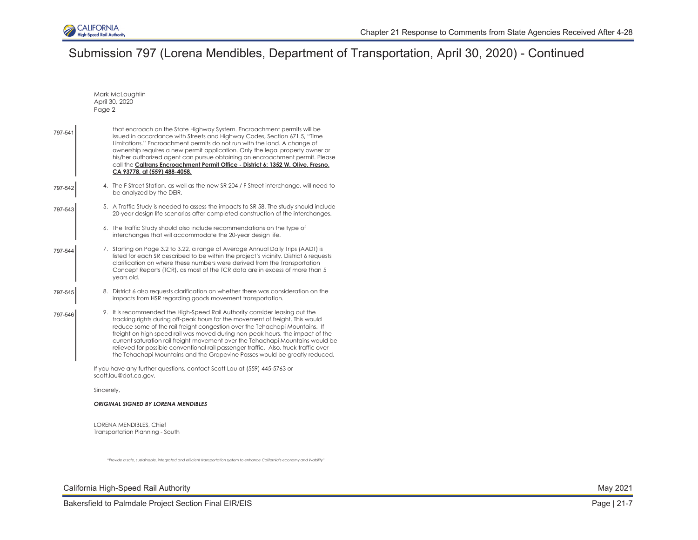

# Submission 797 (Lorena Mendibles, Department of Transportation, April 30, 2020) - Continued

|         | Page 2 | Mark McLoughlin<br>April 30, 2020                                                                                                                                                                                                                                                                                                                                                                                                                                                                                                                                                   |  |  |  |  |
|---------|--------|-------------------------------------------------------------------------------------------------------------------------------------------------------------------------------------------------------------------------------------------------------------------------------------------------------------------------------------------------------------------------------------------------------------------------------------------------------------------------------------------------------------------------------------------------------------------------------------|--|--|--|--|
| 797-541 |        | that encroach on the State Highway System. Encroachment permits will be<br>issued in accordance with Streets and Highway Codes, Section 671.5, "Time<br>Limitations." Encroachment permits do not run with the land. A change of<br>ownership requires a new permit application. Only the legal property owner or<br>his/her authorized agent can pursue obtaining an encroachment permit. Please<br>call the Caltrans Encroachment Permit Office - District 6: 1352 W. Olive, Fresno,<br>CA 93778, at (559) 488-4058.                                                              |  |  |  |  |
| 797-542 |        | 4. The F Street Station, as well as the new SR 204 / F Street interchange, will need to<br>be analyzed by the DEIR.                                                                                                                                                                                                                                                                                                                                                                                                                                                                 |  |  |  |  |
| 797-543 |        | 5. A Traffic Study is needed to assess the impacts to SR 58. The study should include<br>20-year design life scenarios after completed construction of the interchanges.                                                                                                                                                                                                                                                                                                                                                                                                            |  |  |  |  |
|         |        | 6. The Traffic Study should also include recommendations on the type of<br>interchanges that will accommodate the 20-year design life.                                                                                                                                                                                                                                                                                                                                                                                                                                              |  |  |  |  |
| 797-544 |        | 7. Starting on Page 3.2 to 3.22, a range of Average Annual Daily Trips (AADT) is<br>listed for each SR described to be within the project's vicinity. District 6 requests<br>clarification on where these numbers were derived from the Transportation<br>Concept Reports (TCR), as most of the TCR data are in excess of more than 5<br>years old.                                                                                                                                                                                                                                 |  |  |  |  |
| 797-545 |        | 8. District 6 also requests clarification on whether there was consideration on the<br>impacts from HSR regarding goods movement transportation.                                                                                                                                                                                                                                                                                                                                                                                                                                    |  |  |  |  |
| 797-546 |        | 9. It is recommended the High-Speed Rail Authority consider leasing out the<br>tracking rights during off-peak hours for the movement of freight. This would<br>reduce some of the rail-freight congestion over the Tehachapi Mountains. If<br>freight on high speed rail was moved during non-peak hours, the impact of the<br>current saturation rail freight movement over the Tehachapi Mountains would be<br>relieved for possible conventional rail passenger traffic. Also, truck traffic over<br>the Tehachapi Mountains and the Grapevine Passes would be greatly reduced. |  |  |  |  |
|         |        | If you have any further questions, contact Scott Lau at (559) 445-5763 or<br>scott.lau@dot.ca.gov.                                                                                                                                                                                                                                                                                                                                                                                                                                                                                  |  |  |  |  |
|         |        | Sincerely,                                                                                                                                                                                                                                                                                                                                                                                                                                                                                                                                                                          |  |  |  |  |
|         |        | <b>ORIGINAL SIGNED BY LORENA MENDIBLES</b>                                                                                                                                                                                                                                                                                                                                                                                                                                                                                                                                          |  |  |  |  |
|         |        | <b>LORENA MENDIBLES, Chief</b><br>Transportation Planning - South                                                                                                                                                                                                                                                                                                                                                                                                                                                                                                                   |  |  |  |  |

*"Provide a safe, sustainable, integrated and efficient transportation system to enhance California's economy and livability"*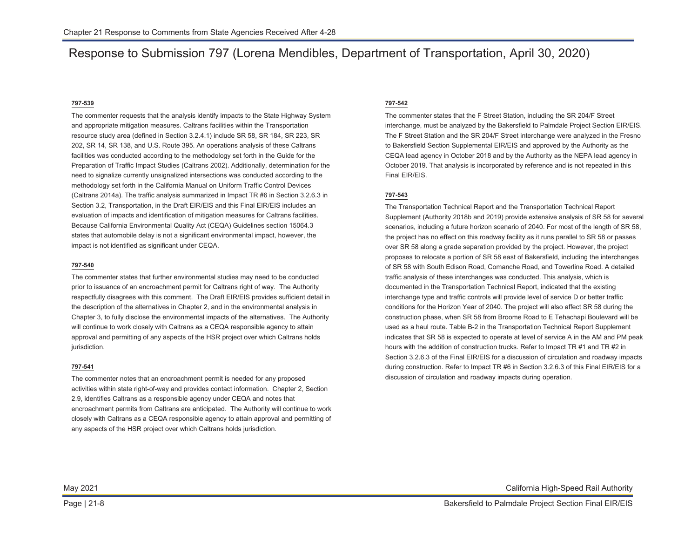# Response to Submission 797 (Lorena Mendibles, Department of Transportation, April 30, 2020)

## **797-539**

The commenter requests that the analysis identify impacts to the State Highway System and appropriate mitigation measures. Caltrans facilities within the Transportation resource study area (defined in Section 3.2.4.1) include SR 58, SR 184, SR 223, SR 202, SR 14, SR 138, and U.S. Route 395. An operations analysis of these Caltrans facilities was conducted according to the methodology set forth in the Guide for the Preparation of Traffic Impact Studies (Caltrans 2002). Additionally, determination for the need to signalize currently unsignalized intersections was conducted according to the methodology set forth in the California Manual on Uniform Traffic Control Devices (Caltrans 2014a). The traffic analysis summarized in Impact TR #6 in Section 3.2.6.3 in Section 3.2, Transportation, in the Draft EIR/EIS and this Final EIR/EIS includes an evaluation of impacts and identification of mitigation measures for Caltrans facilities. Because California Environmental Quality Act (CEQA) Guidelines section 15064.3 states that automobile delay is not a significant environmental impact, however, the impact is not identified as significant under CEQA.

### **797-540**

The commenter states that further environmental studies may need to be conducted prior to issuance of an encroachment permit for Caltrans right of way. The Authority respectfully disagrees with this comment. The Draft EIR/EIS provides sufficient detail in the description of the alternatives in Chapter 2, and in the environmental analysis in Chapter 3, to fully disclose the environmental impacts of the alternatives. The Authority will continue to work closely with Caltrans as a CEQA responsible agency to attain approval and permitting of any aspects of the HSR project over which Caltrans holds jurisdiction.

## **797-541**

The commenter notes that an encroachment permit is needed for any proposed activities within state right-of-way and provides contact information. Chapter 2, Section 2.9, identifies Caltrans as a responsible agency under CEQA and notes that encroachment permits from Caltrans are anticipated. The Authority will continue to work closely with Caltrans as a CEQA responsible agency to attain approval and permitting of any aspects of the HSR project over which Caltrans holds jurisdiction.

## **797-542**

The commenter states that the F Street Station, including the SR 204/F Street interchange, must be analyzed by the Bakersfield to Palmdale Project Section EIR/EIS. The F Street Station and the SR 204/F Street interchange were analyzed in the Fresno to Bakersfield Section Supplemental EIR/EIS and approved by the Authority as the CEQA lead agency in October 2018 and by the Authority as the NEPA lead agency in October 2019. That analysis is incorporated by reference and is not repeated in this Final EIR/EIS.

## **797-543**

The Transportation Technical Report and the Transportation Technical Report Supplement (Authority 2018b and 2019) provide extensive analysis of SR 58 for several scenarios, including a future horizon scenario of 2040. For most of the length of SR 58, the project has no effect on this roadway facility as it runs parallel to SR 58 or passes over SR 58 along a grade separation provided by the project. However, the project proposes to relocate a portion of SR 58 east of Bakersfield, including the interchanges of SR 58 with South Edison Road, Comanche Road, and Towerline Road. A detailed traffic analysis of these interchanges was conducted. This analysis, which is documented in the Transportation Technical Report, indicated that the existing interchange type and traffic controls will provide level of service D or better traffic conditions for the Horizon Year of 2040. The project will also affect SR 58 during the construction phase, when SR 58 from Broome Road to E Tehachapi Boulevard will be used as a haul route. Table B-2 in the Transportation Technical Report Supplement indicates that SR 58 is expected to operate at level of service A in the AM and PM peak hours with the addition of construction trucks. Refer to Impact TR #1 and TR #2 in Section 3.2.6.3 of the Final EIR/EIS for a discussion of circulation and roadway impacts during construction. Refer to Impact TR #6 in Section 3.2.6.3 of this Final EIR/EIS for a discussion of circulation and roadway impacts during operation.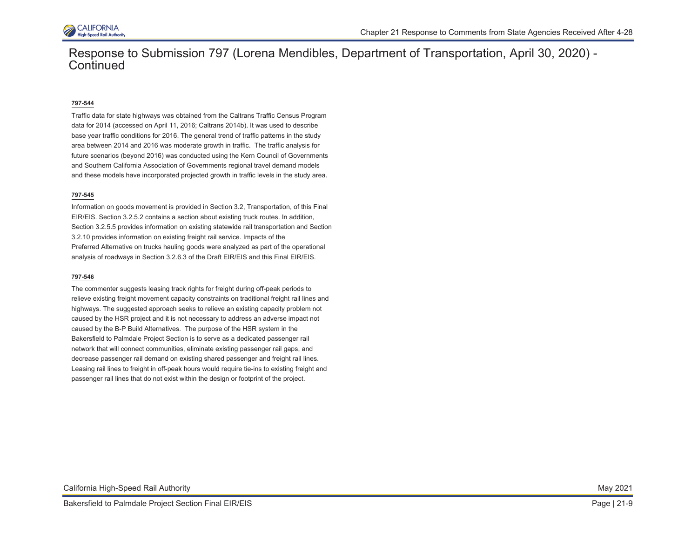

## Response to Submission 797 (Lorena Mendibles, Department of Transportation, April 30, 2020) - **Continued**

## **797-544**

Traffic data for state highways was obtained from the Caltrans Traffic Census Program data for 2014 (accessed on April 11, 2016; Caltrans 2014b). It was used to describe base year traffic conditions for 2016. The general trend of traffic patterns in the study area between 2014 and 2016 was moderate growth in traffic. The traffic analysis for future scenarios (beyond 2016) was conducted using the Kern Council of Governments and Southern California Association of Governments regional travel demand models and these models have incorporated projected growth in traffic levels in the study area.

## **797-545**

Information on goods movement is provided in Section 3.2, Transportation, of this Final EIR/EIS. Section 3.2.5.2 contains a section about existing truck routes. In addition, Section 3.2.5.5 provides information on existing statewide rail transportation and Section 3.2.10 provides information on existing freight rail service. Impacts of the Preferred Alternative on trucks hauling goods were analyzed as part of the operational analysis of roadways in Section 3.2.6.3 of the Draft EIR/EIS and this Final EIR/EIS.

## **797-546**

The commenter suggests leasing track rights for freight during off-peak periods to relieve existing freight movement capacity constraints on traditional freight rail lines and highways. The suggested approach seeks to relieve an existing capacity problem not caused by the HSR project and it is not necessary to address an adverse impact not caused by the B-P Build Alternatives. The purpose of the HSR system in the Bakersfield to Palmdale Project Section is to serve as a dedicated passenger rail network that will connect communities, eliminate existing passenger rail gaps, and decrease passenger rail demand on existing shared passenger and freight rail lines. Leasing rail lines to freight in off-peak hours would require tie-ins to existing freight and passenger rail lines that do not exist within the design or footprint of the project.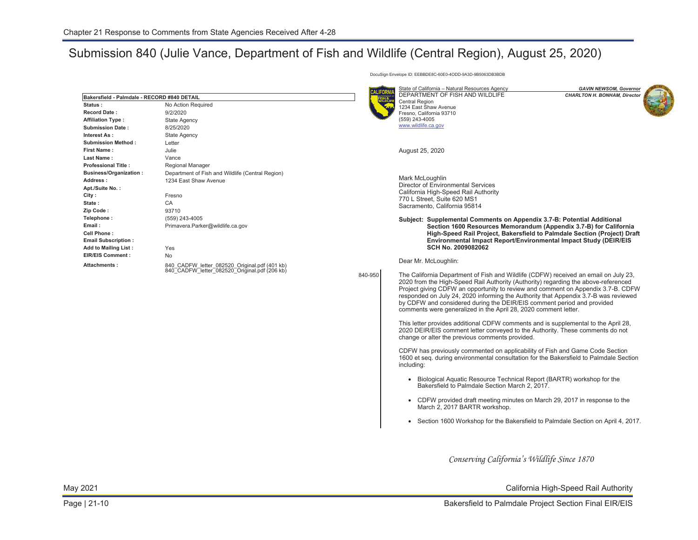|                                                                                                                                                      |                                                                                                                                                                                                                                                                         |         | State of California - Natural Resources Agency<br><b>GAVIN NEWSOM, Governor</b><br>DEPARTMENT OF FISH AND WILDLIFE<br><b>CHARLTON H. BONHAM, Director</b>                                                                                                                                                                                                                                                                                                                                                                                                                               |
|------------------------------------------------------------------------------------------------------------------------------------------------------|-------------------------------------------------------------------------------------------------------------------------------------------------------------------------------------------------------------------------------------------------------------------------|---------|-----------------------------------------------------------------------------------------------------------------------------------------------------------------------------------------------------------------------------------------------------------------------------------------------------------------------------------------------------------------------------------------------------------------------------------------------------------------------------------------------------------------------------------------------------------------------------------------|
| Bakersfield - Palmdale - RECORD #840 DETAIL<br>Status:<br><b>Record Date:</b><br><b>Affiliation Type:</b><br><b>Submission Date:</b><br>Interest As: | No Action Required<br>9/2/2020<br><b>State Agency</b><br>8/25/2020<br><b>State Agency</b>                                                                                                                                                                               |         | Central Region<br>1234 East Shaw Avenue<br>Fresno, California 93710<br>(559) 243-4005<br>www.wildlife.ca.gov                                                                                                                                                                                                                                                                                                                                                                                                                                                                            |
| <b>Submission Method:</b><br><b>First Name:</b><br>Last Name:<br><b>Professional Title:</b>                                                          | Letter<br>Julie<br>Vance<br>Regional Manager                                                                                                                                                                                                                            |         | August 25, 2020                                                                                                                                                                                                                                                                                                                                                                                                                                                                                                                                                                         |
| <b>Business/Organization:</b><br>Address:<br>Apt./Suite No.:<br>City :<br>State:<br>Zip Code:<br>Telephone:<br>Email:<br>Cell Phone:                 | Department of Fish and Wildlife (Central Region)<br>1234 East Shaw Avenue<br>Fresno<br>CA<br>93710<br>(559) 243-4005<br>Primavera.Parker@wildlife.ca.gov<br>Yes<br>No<br>840 CADFW letter 082520 Original.pdf (401 kb)<br>840 CADFW letter 082520 Original.pdf (206 kb) |         | Mark McLoughlin<br>Director of Environmental Services<br>California High-Speed Rail Authority<br>770 L Street, Suite 620 MS1<br>Sacramento, California 95814<br>Subject: Supplemental Comments on Appendix 3.7-B: Potential Additional<br>Section 1600 Resources Memorandum (Appendix 3.7-B) for California<br>High-Speed Rail Project, Bakersfield to Palmdale Section (Project) Draft                                                                                                                                                                                                 |
| <b>Email Subscription:</b><br>Add to Mailing List:<br><b>EIR/EIS Comment:</b>                                                                        |                                                                                                                                                                                                                                                                         | 840-950 | Environmental Impact Report/Environmental Impact Study (DEIR/EIS<br>SCH No. 2009082062<br>Dear Mr. McLoughlin:                                                                                                                                                                                                                                                                                                                                                                                                                                                                          |
| Attachments:                                                                                                                                         |                                                                                                                                                                                                                                                                         |         | The California Department of Fish and Wildlife (CDFW) received an email on July 23,<br>2020 from the High-Speed Rail Authority (Authority) regarding the above-referenced<br>Project giving CDFW an opportunity to review and comment on Appendix 3.7-B. CDFW<br>responded on July 24, 2020 informing the Authority that Appendix 3.7-B was reviewed<br>by CDFW and considered during the DEIR/EIS comment period and provided<br>comments were generalized in the April 28, 2020 comment letter.<br>This letter provides additional CDFW comments and is supplemental to the April 28, |
|                                                                                                                                                      |                                                                                                                                                                                                                                                                         |         | 2020 DEIR/EIS comment letter conveyed to the Authority. These comments do not<br>change or alter the previous comments provided.                                                                                                                                                                                                                                                                                                                                                                                                                                                        |
|                                                                                                                                                      |                                                                                                                                                                                                                                                                         |         | CDFW has previously commented on applicability of Fish and Game Code Section<br>1600 et seg. during environmental consultation for the Bakersfield to Palmdale Section<br>including:                                                                                                                                                                                                                                                                                                                                                                                                    |
|                                                                                                                                                      |                                                                                                                                                                                                                                                                         |         | Biological Aguatic Resource Technical Report (BARTR) workshop for the<br>Bakersfield to Palmdale Section March 2, 2017.                                                                                                                                                                                                                                                                                                                                                                                                                                                                 |
|                                                                                                                                                      |                                                                                                                                                                                                                                                                         |         | CDFW provided draft meeting minutes on March 29, 2017 in response to the<br>March 2, 2017 BARTR workshop.                                                                                                                                                                                                                                                                                                                                                                                                                                                                               |
|                                                                                                                                                      |                                                                                                                                                                                                                                                                         |         | • Section 1600 Workshop for the Bakersfield to Palmdale Section on April 4, 2017.                                                                                                                                                                                                                                                                                                                                                                                                                                                                                                       |
|                                                                                                                                                      |                                                                                                                                                                                                                                                                         |         |                                                                                                                                                                                                                                                                                                                                                                                                                                                                                                                                                                                         |

DocuSign Envelope ID: EEBBDE8C-60E0-4ODD-9A3D-9B5063DB3BDB

Conserving California's Wildlife Since 1870

California High-Speed Rail Authority

May 2021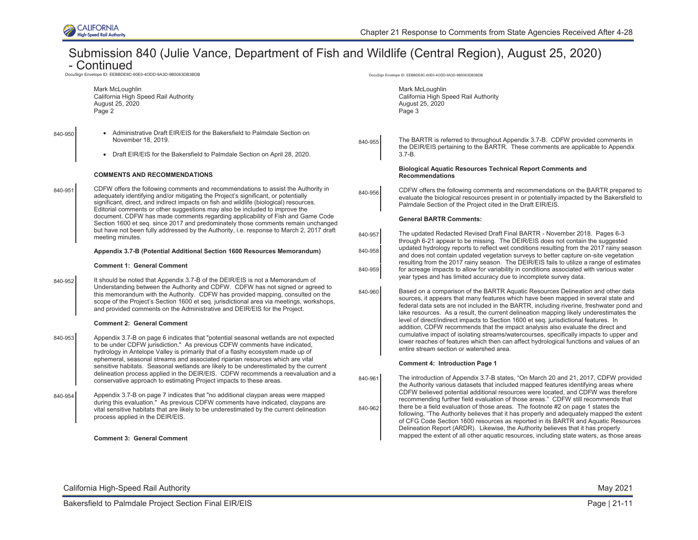

840-950

## Submission 840 (Julie Vance, Department of Fish and Wildlife (Central Region), August 25, 2020) - Continued

DocuSign Envelope ID: EEBBDE8C-60E0-4ODD-9A3D-9B5063DB3BDB

Mark McLoughlin California High Speed Rail Authority August 25, 2020 Page 2

- Administrative Draft EIR/EIS for the Bakersfield to Palmdale Section on November 18, 2019.
	- Draft EIR/EIS for the Bakersfield to Palmdale Section on April 28, 2020.

#### **COMMENTS AND RECOMMENDATIONS**

840-951 CDFW offers the following comments and recommendations to assist the Authority in adequately identifying and/or mitigating the Project's significant, or potentially significant, direct, and indirect impacts on fish and wildlife (biological) resources. Editorial comments or other suggestions may also be included to improve the document. CDFW has made comments regarding applicability of Fish and Game Code Section 1600 et seq. since 2017 and predominately those comments remain unchanged but have not been fully addressed by the Authority, i.e. response to March 2, 2017 draft meeting minutes.

#### **Appendix 3.7-B (Potential Additional Section 1600 Resources Memorandum)**

#### **Comment 1: General Comment**

840-952 It should be noted that Appendix 3.7-B of the DEIR/EIS is not a Memorandum of Understanding between the Authority and CDFW. CDFW has not signed or agreed to this memorandum with the Authority. CDFW has provided mapping, consulted on the scope of the Project's Section 1600 et seq. jurisdictional area via meetings, workshops, and provided comments on the Administrative and DEIR/EIS for the Project.

#### **Comment 2: General Comment**

- 840-953 Appendix 3.7-B on page 6 indicates that "potential seasonal wetlands are not expected to be under CDFW jurisdiction." As previous CDFW comments have indicated, hydrology in Antelope Valley is primarily that of a flashy ecosystem made up of ephemeral, seasonal streams and associated riparian resources which are vital sensitive habitats. Seasonal wetlands are likely to be underestimated by the current delineation process applied in the DEIR/EIS. CDFW recommends a reevaluation and a conservative approach to estimating Project impacts to these areas.
- 840-954 Appendix 3.7-B on page 7 indicates that "no additional claypan areas were mapped during this evaluation." As previous CDFW comments have indicated, claypans are vital sensitive habitats that are likely to be underestimated by the current delineation process applied in the DEIR/EIS.

**Comment 3: General Comment** 

DocuSign Envelope ID: EEBBDE8C-60E0-4ODD-9A3D-9B5063DB3BDB

- Mark McLoughlin California High Speed Rail Authority August 25, 2020 Page 3
- 840-955 The BARTR is referred to throughout Appendix 3.7-B. CDFW provided comments in the DEIR/EIS pertaining to the BARTR. These comments are applicable to Appendix 3.7-B.

#### **Biological Aquatic Resources Technical Report Comments and Recommendations**

840-956 CDFW offers the following comments and recommendations on the BARTR prepared to evaluate the biological resources present in or potentially impacted by the Bakersfield to Palmdale Section of the Project cited in the Draft EIR/EIS.

#### **General BARTR Comments:**

840-957 The updated Redacted Revised Draft Final BARTR - November 2018. Pages 6-3 through 6-21 appear to be missing. The DEIR/EIS does not contain the suggested

840-958 840-959 updated hydrology reports to reflect wet conditions resulting from the 2017 rainy season and does not contain updated vegetation surveys to better capture on-site vegetation resulting from the 2017 rainy season. The DEIR/EIS fails to utilize a range of estimates for acreage impacts to allow for variability in conditions associated with various water year types and has limited accuracy due to incomplete survey data.

840-960 Based on a comparison of the BARTR Aquatic Resources Delineation and other data sources, it appears that many features which have been mapped in several state and federal data sets are not included in the BARTR, including riverine, freshwater pond and lake resources. As a result, the current delineation mapping likely underestimates the level of direct/indirect impacts to Section 1600 et seq. jurisdictional features. In addition, CDFW recommends that the impact analysis also evaluate the direct and cumulative impact of isolating streams/watercourses, specifically impacts to upper and lower reaches of features which then can affect hydrological functions and values of an entire stream section or watershed area.

#### **Comment 4: Introduction Page 1**

840-961 840-962 The introduction of Appendix 3.7-B states, "On March 20 and 21, 2017, CDFW provided the Authority various datasets that included mapped features identifying areas where CDFW believed potential additional resources were located, and CDFW was therefore recommending further field evaluation of those areas." CDFW still recommends that there be a field evaluation of those areas. The footnote #2 on page 1 states the following, "The Authority believes that it has properly and adequately mapped the extent of CFG Code Section 1600 resources as reported in its BARTR and Aquatic Resources Delineation Report (ARDR). Likewise, the Authority believes that it has properly mapped the extent of all other aquatic resources, including state waters, as those areas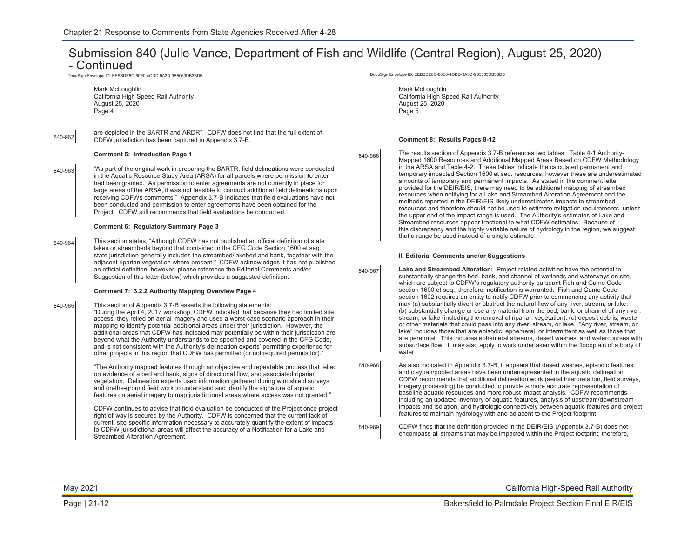DocuSign Envelope ID: EEBBDE8C-60E0-4ODD-9A3D-9B5063DB3BDB

Mark McLoughlin California High Speed Rail Authority August 25, 2020 Page 4

are depicted in the BARTR and ARDR". CDFW does not find that the full extent of CDFW jurisdiction has been captured in Appendix 3.7-B. 840-962

#### **Comment 5: Introduction Page 1**

 $840-963$  "As part of the original work in preparing the BARTR, field delineations were conducted in the Aquatic Resource Study Area (ARSA) for all parcels where permission to enter had been granted. As permission to enter agreements are not currently in place for large areas of the ARSA, it was not feasible to conduct additional field delineations upon receiving CDFWs comments." Appendix 3.7-B indicates that field evaluations have not been conducted and permission to enter agreements have been obtained for the Project. CDFW still recommends that field evaluations be conducted.

#### **Comment 6: Regulatory Summary Page 3**

840-964 This section states, "Although CDFW has not published an official definition of state lakes or streambeds beyond that contained in the CFG Code Section 1600 et seq., state jurisdiction generally includes the streambed/lakebed and bank, together with the adjacent riparian vegetation where present." CDFW acknowledges it has not published an official definition, however, please reference the Editorial Comments and/or Suggestion of this letter (below) which provides a suggested definition.

#### **Comment 7: 3.2.2 Authority Mapping Overview Page 4**

840-965 This section of Appendix 3.7-B asserts the following statements: "During the April 4, 2017 workshop, CDFW indicated that because they had limited site access, they relied on aerial imagery and used a worst-case scenario approach in their mapping to identify potential additional areas under their jurisdiction. However, the additional areas that CDFW has indicated may potentially be within their jurisdiction are beyond what the Authority understands to be specified and covered in the CFG Code, and is not consistent with the Authority's delineation experts' permitting experience for other projects in this region that CDFW has permitted (or not required permits for)."

> "The Authority mapped features through an objective and repeatable process that relied on evidence of a bed and bank, signs of directional flow, and associated riparian vegetation. Delineation experts used information gathered during windshield surveys and on-the-ground field work to understand and identify the signature of aquatic features on aerial imagery to map jurisdictional areas where access was not granted."

> CDFW continues to advise that field evaluation be conducted of the Project once project right-of-way is secured by the Authority. CDFW is concerned that the current lack of current, site-specific information necessary to accurately quantify the extent of impacts to CDFW jurisdictional areas will affect the accuracy of a Notification for a Lake and Streambed Alteration Agreement.

DocuSign Envelope ID: EEBBDE8C-60E0-4ODD-9A3D-9B5063DB3BDB

Mark McLoughlin California High Speed Rail Authority August 25, 2020 Page 5

#### **Comment 8: Results Pages 8-12**

840-966 The results section of Appendix 3.7-B references two tables: Table 4-1 Authority-Mapped 1600 Resources and Additional Mapped Areas Based on CDFW Methodology in the ARSA and Table 4-2. These tables indicate the calculated permanent and temporary impacted Section 1600 et seq. resources, however these are underestimated amounts of temporary and permanent impacts. As stated in the comment letter provided for the DEIR/EIS, there may need to be additional mapping of streambed resources when notifying for a Lake and Streambed Alteration Agreement and the methods reported in the DEIR/EIS likely underestimates impacts to streambed resources and therefore should not be used to estimate mitigation requirements, unless the upper end of the impact range is used. The Authority's estimates of Lake and Streambed resources appear fractional to what CDFW estimates. Because of this discrepancy and the highly variable nature of hydrology in the region, we suggest that a range be used instead of a single estimate.

#### **II. Editorial Comments and/or Suggestions**

- 840-967 **Lake and Streambed Alteration:** Project-related activities have the potential to substantially change the bed, bank, and channel of wetlands and waterways on site, which are subject to CDFW's regulatory authority pursuant Fish and Game Code section 1600 et seq., therefore, notification is warranted. Fish and Game Code section 1602 requires an entity to notify CDFW prior to commencing any activity that may (a) substantially divert or obstruct the natural flow of any river, stream, or lake; (b) substantially change or use any material from the bed, bank, or channel of any river, stream, or lake (including the removal of riparian vegetation): (c) deposit debris, waste or other materials that could pass into any river, stream, or lake. "Any river, stream, or lake" includes those that are episodic, ephemeral, or intermittent as well as those that are perennial. This includes ephemeral streams, desert washes, and watercourses with subsurface flow. It may also apply to work undertaken within the floodplain of a body of water
- 840-968 As also indicated in Appendix 3.7-B, it appears that desert washes, episodic features and claypan/pooled areas have been underrepresented in the aquatic delineation. CDFW recommends that additional delineation work (aerial interpretation, field surveys, imagery processing) be conducted to provide a more accurate representation of baseline aquatic resources and more robust impact analysis. CDFW recommends including an updated inventory of aquatic features, analysis of upstream/downstream impacts and isolation, and hydrologic connectively between aquatic features and project features to maintain hydrology with and adjacent to the Project footprint.
- 840-969 CDFW finds that the definition provided in the DEIR/EIS (Appendix 3.7-B) does not encompass all streams that may be impacted within the Project footprint; therefore,

California High-Speed Rail Authority

May 2021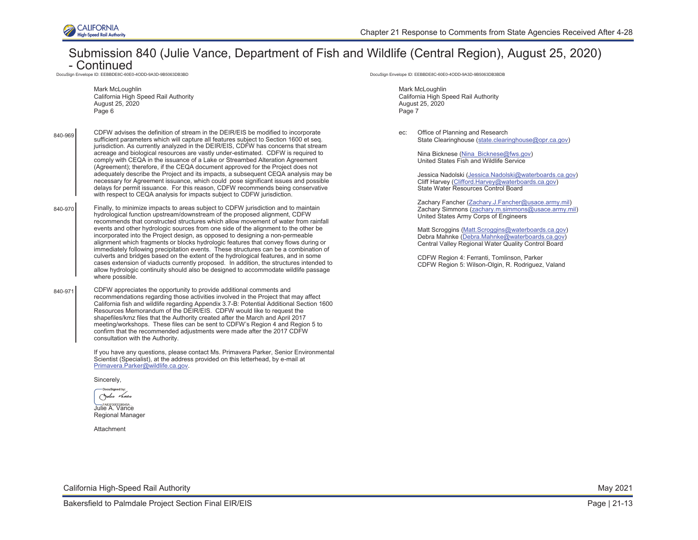

DocuSign Envelope ID: EEBBDE8C-60E0-4ODD-9A3D-9B5063DB3BD

| Mark McLoughlin                      |
|--------------------------------------|
| California High Speed Rail Authority |
| August 25, 2020                      |
| Page 6                               |

CDFW advises the definition of stream in the DEIR/EIS be modified to incorporate sufficient parameters which will capture all features subject to Section 1600 et seq. jurisdiction. As currently analyzed in the DEIR/EIS, CDFW has concerns that stream acreage and biological resources are vastly under-estimated. CDFW is required to comply with CEQA in the issuance of a Lake or Streambed Alteration Agreement (Agreement); therefore, if the CEQA document approved for the Project does not adequately describe the Project and its impacts, a subsequent CEQA analysis may be necessary for Agreement issuance, which could pose significant issues and possible delays for permit issuance. For this reason, CDFW recommends being conservative with respect to CEQA analysis for impacts subject to CDFW jurisdiction. 840-969

 $840-970$  Finally, to minimize impacts to areas subject to CDFW jurisdiction and to maintain hydrological function upstream/downstream of the proposed alignment, CDFW recommends that constructed structures which allow movement of water from rainfall events and other hydrologic sources from one side of the alignment to the other be incorporated into the Project design, as opposed to designing a non-permeable alignment which fragments or blocks hydrologic features that convey flows during or immediately following precipitation events. These structures can be a combination of culverts and bridges based on the extent of the hydrological features, and in some cases extension of viaducts currently proposed. In addition, the structures intended to allow hydrologic continuity should also be designed to accommodate wildlife passage where possible.

 $840-971$  CDFW appreciates the opportunity to provide additional comments and recommendations regarding those activities involved in the Project that may affect California fish and wildlife regarding Appendix 3.7-B: Potential Additional Section 1600 Resources Memorandum of the DEIR/EIS. CDFW would like to request the shapefiles/kmz files that the Authority created after the March and April 2017 meeting/workshops. These files can be sent to CDFW's Region 4 and Region 5 to confirm that the recommended adjustments were made after the 2017 CDFW consultation with the Authority.

> If you have any questions, please contact Ms. Primavera Parker, Senior Environmental Scientist (Specialist), at the address provided on this letterhead, by e-mail at [Primavera.Parker@wildlife.ca.gov.](mailto:Primavera.Parker@wildlife.ca.gov)

Sincerely,

DocuSianed by

Julie Vance Julie A. Vance

Regional Manager

Attachment

DocuSign Envelope ID: EEBBDE8C-60E0-4ODD-9A3D-9B5063DB3BDB

Mark McLoughlin California High Speed Rail Authority August 25, 2020 Page 7

ec: Office of Planning and Research State Clearinghouse [\(state.clearinghouse@opr.ca.gov\)](mailto:state.clearinghouse@opr.ca.gov)

> Nina Bicknese [\(Nina\\_Bicknese@fws.gov\)](mailto:Nina_Bicknese@fws.gov) United States Fish and Wildlife Service

Jessica Nadolski [\(Jessica.Nadolski@waterboards.ca.gov\)](mailto:Jessica.Nadolski@waterboards.ca.gov) Cliff Harvey [\(Clifford.Harvey@waterboards.ca.gov\)](mailto:Clifford.Harvey@waterboards.ca.gov) State Water Resources Control Board

Zachary Fancher ([Zachary.J.Fancher@usace.army.mil\)](mailto:Zachary.J.Fancher@usace.army.mil) Zachary Simmons [\(zachary.m.simmons@usace.army.mil\)](mailto:zachary.m.simmons@usace.army.mil) United States Army Corps of Engineers

Matt Scroggins [\(Matt.Scroggins@waterboards.ca.gov\)](mailto:Matt.Scroggins@waterboards.ca.gov) Debra Mahnke [\(Debra.Mahnke@waterboards.ca.gov\)](mailto:Debra.Mahnke@waterboards.ca.gov) Central Valley Regional Water Quality Control Board

CDFW Region 4: Ferranti, Tomlinson, Parker CDFW Region 5: Wilson-Olgin, R. Rodriguez, Valand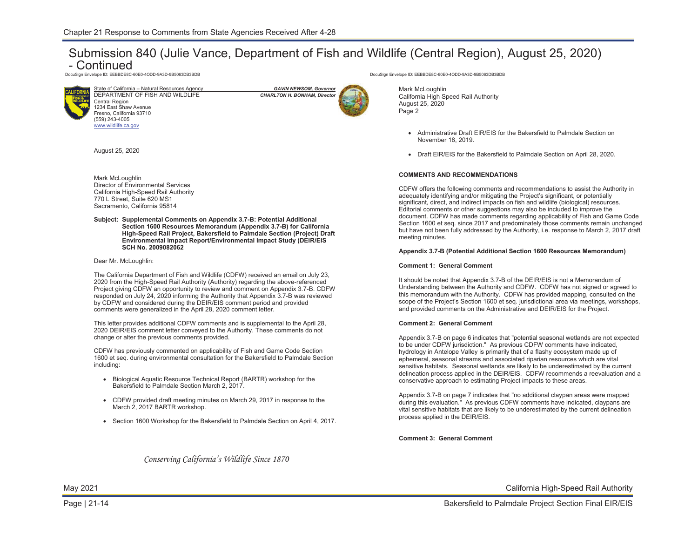DocuSign Envelope ID: EEBBDE8C-60E0-4ODD-9A3D-9B5063DB3BDB



State of California – Natural Resources Agency *GAVIN NEWSOM, Governor* DEPARTMENT OF FISH AND WILDLIFE Central Region

1234 East Shaw Avenue Fresno, California 93710 (559) 243-4005 [www.wildlife.ca.gov](http://www.wildlife.ca.gov) 



August 25, 2020

Mark McLoughlin Director of Environmental Services California High-Speed Rail Authority 770 L Street, Suite 620 MS1 Sacramento, California 95814

**Subject: Supplemental Comments on Appendix 3.7-B: Potential Additional Section 1600 Resources Memorandum (Appendix 3.7-B) for California High-Speed Rail Project, Bakersfield to Palmdale Section (Project) Draft Environmental Impact Report/Environmental Impact Study (DEIR/EIS SCH No. 2009082062** 

Dear Mr. McLoughlin:

The California Department of Fish and Wildlife (CDFW) received an email on July 23, 2020 from the High-Speed Rail Authority (Authority) regarding the above-referenced Project giving CDFW an opportunity to review and comment on Appendix 3.7-B. CDFW responded on July 24, 2020 informing the Authority that Appendix 3.7-B was reviewed by CDFW and considered during the DEIR/EIS comment period and provided comments were generalized in the April 28, 2020 comment letter.

This letter provides additional CDFW comments and is supplemental to the April 28, 2020 DEIR/EIS comment letter conveyed to the Authority. These comments do not change or alter the previous comments provided.

CDFW has previously commented on applicability of Fish and Game Code Section 1600 et seq. during environmental consultation for the Bakersfield to Palmdale Section including:

- Biological Aquatic Resource Technical Report (BARTR) workshop for the Bakersfield to Palmdale Section March 2, 2017.
- CDFW provided draft meeting minutes on March 29, 2017 in response to the March 2, 2017 BARTR workshop.
- Section 1600 Workshop for the Bakersfield to Palmdale Section on April 4, 2017.

DocuSign Envelope ID: EEBBDE8C-60E0-4ODD-9A3D-9B5063DB3BDB

Mark McLoughlin California High Speed Rail Authority August 25, 2020 Page 2

- Administrative Draft EIR/EIS for the Bakersfield to Palmdale Section on November 18, 2019.
- Draft EIR/EIS for the Bakersfield to Palmdale Section on April 28, 2020.

### **COMMENTS AND RECOMMENDATIONS**

CDFW offers the following comments and recommendations to assist the Authority in adequately identifying and/or mitigating the Project's significant, or potentially significant, direct, and indirect impacts on fish and wildlife (biological) resources. Editorial comments or other suggestions may also be included to improve the document. CDFW has made comments regarding applicability of Fish and Game Code Section 1600 et seq. since 2017 and predominately those comments remain unchanged but have not been fully addressed by the Authority, i.e. response to March 2, 2017 draft meeting minutes.

#### **Appendix 3.7-B (Potential Additional Section 1600 Resources Memorandum)**

#### **Comment 1: General Comment**

It should be noted that Appendix 3.7-B of the DEIR/EIS is not a Memorandum of Understanding between the Authority and CDFW. CDFW has not signed or agreed to this memorandum with the Authority. CDFW has provided mapping, consulted on the scope of the Project's Section 1600 et seq. jurisdictional area via meetings, workshops, and provided comments on the Administrative and DEIR/EIS for the Project.

#### **Comment 2: General Comment**

Appendix 3.7-B on page 6 indicates that "potential seasonal wetlands are not expected to be under CDFW jurisdiction." As previous CDFW comments have indicated, hydrology in Antelope Valley is primarily that of a flashy ecosystem made up of ephemeral, seasonal streams and associated riparian resources which are vital sensitive habitats. Seasonal wetlands are likely to be underestimated by the current delineation process applied in the DEIR/EIS. CDFW recommends a reevaluation and a conservative approach to estimating Project impacts to these areas.

Appendix 3.7-B on page 7 indicates that "no additional claypan areas were mapped during this evaluation." As previous CDFW comments have indicated, claypans are vital sensitive habitats that are likely to be underestimated by the current delineation process applied in the DEIR/EIS.

**Comment 3: General Comment** 

Conserving California's Wildlife Since 1870

California High-Speed Rail Authority

May 2021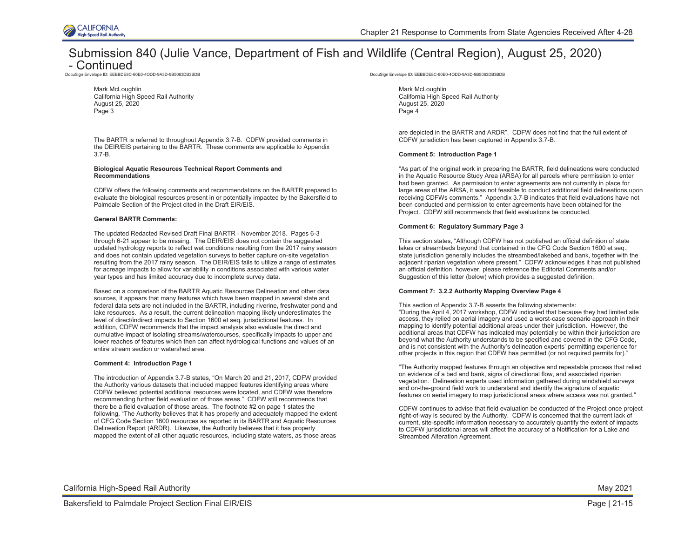

DocuSign Envelope ID: EEBBDE8C-60E0-4ODD-9A3D-9B5063DB3BDB

Mark McLoughlin California High Speed Rail Authority August 25, 2020 Page 3

The BARTR is referred to throughout Appendix 3.7-B. CDFW provided comments in the DEIR/EIS pertaining to the BARTR. These comments are applicable to Appendix 3.7-B.

#### **Biological Aquatic Resources Technical Report Comments and Recommendations**

CDFW offers the following comments and recommendations on the BARTR prepared to evaluate the biological resources present in or potentially impacted by the Bakersfield to Palmdale Section of the Project cited in the Draft EIR/EIS.

#### **General BARTR Comments:**

The updated Redacted Revised Draft Final BARTR - November 2018. Pages 6-3 through 6-21 appear to be missing. The DEIR/EIS does not contain the suggested updated hydrology reports to reflect wet conditions resulting from the 2017 rainy season and does not contain updated vegetation surveys to better capture on-site vegetation resulting from the 2017 rainy season. The DEIR/EIS fails to utilize a range of estimates for acreage impacts to allow for variability in conditions associated with various water year types and has limited accuracy due to incomplete survey data.

Based on a comparison of the BARTR Aquatic Resources Delineation and other data sources, it appears that many features which have been mapped in several state and federal data sets are not included in the BARTR, including riverine, freshwater pond and lake resources. As a result, the current delineation mapping likely underestimates the level of direct/indirect impacts to Section 1600 et seq. jurisdictional features. In addition, CDFW recommends that the impact analysis also evaluate the direct and cumulative impact of isolating streams/watercourses, specifically impacts to upper and lower reaches of features which then can affect hydrological functions and values of an entire stream section or watershed area.

#### **Comment 4: Introduction Page 1**

The introduction of Appendix 3.7-B states, "On March 20 and 21, 2017, CDFW provided the Authority various datasets that included mapped features identifying areas where CDFW believed potential additional resources were located, and CDFW was therefore recommending further field evaluation of those areas." CDFW still recommends that there be a field evaluation of those areas. The footnote #2 on page 1 states the following, "The Authority believes that it has properly and adequately mapped the extent of CFG Code Section 1600 resources as reported in its BARTR and Aquatic Resources Delineation Report (ARDR). Likewise, the Authority believes that it has properly mapped the extent of all other aquatic resources, including state waters, as those areas

DocuSign Envelope ID: EEBBDE8C-60E0-4ODD-9A3D-9B5063DB3BDB

Mark McLoughlin California High Speed Rail Authority August 25, 2020 Page 4

are depicted in the BARTR and ARDR". CDFW does not find that the full extent of CDFW jurisdiction has been captured in Appendix 3.7-B.

#### **Comment 5: Introduction Page 1**

"As part of the original work in preparing the BARTR, field delineations were conducted in the Aquatic Resource Study Area (ARSA) for all parcels where permission to enter had been granted. As permission to enter agreements are not currently in place for large areas of the ARSA, it was not feasible to conduct additional field delineations upon receiving CDFWs comments." Appendix 3.7-B indicates that field evaluations have not been conducted and permission to enter agreements have been obtained for the Project. CDFW still recommends that field evaluations be conducted.

#### **Comment 6: Regulatory Summary Page 3**

This section states, "Although CDFW has not published an official definition of state lakes or streambeds beyond that contained in the CFG Code Section 1600 et seq., state jurisdiction generally includes the streambed/lakebed and bank, together with the adjacent riparian vegetation where present." CDFW acknowledges it has not published an official definition, however, please reference the Editorial Comments and/or Suggestion of this letter (below) which provides a suggested definition.

#### **Comment 7: 3.2.2 Authority Mapping Overview Page 4**

This section of Appendix 3.7-B asserts the following statements: "During the April 4, 2017 workshop, CDFW indicated that because they had limited site access, they relied on aerial imagery and used a worst-case scenario approach in their mapping to identify potential additional areas under their jurisdiction. However, the additional areas that CDFW has indicated may potentially be within their jurisdiction are beyond what the Authority understands to be specified and covered in the CFG Code, and is not consistent with the Authority's delineation experts' permitting experience for other projects in this region that CDFW has permitted (or not required permits for)."

"The Authority mapped features through an objective and repeatable process that relied on evidence of a bed and bank, signs of directional flow, and associated riparian vegetation. Delineation experts used information gathered during windshield surveys and on-the-ground field work to understand and identify the signature of aquatic features on aerial imagery to map jurisdictional areas where access was not granted."

CDFW continues to advise that field evaluation be conducted of the Project once project right-of-way is secured by the Authority. CDFW is concerned that the current lack of current, site-specific information necessary to accurately quantify the extent of impacts to CDFW jurisdictional areas will affect the accuracy of a Notification for a Lake and Streambed Alteration Agreement.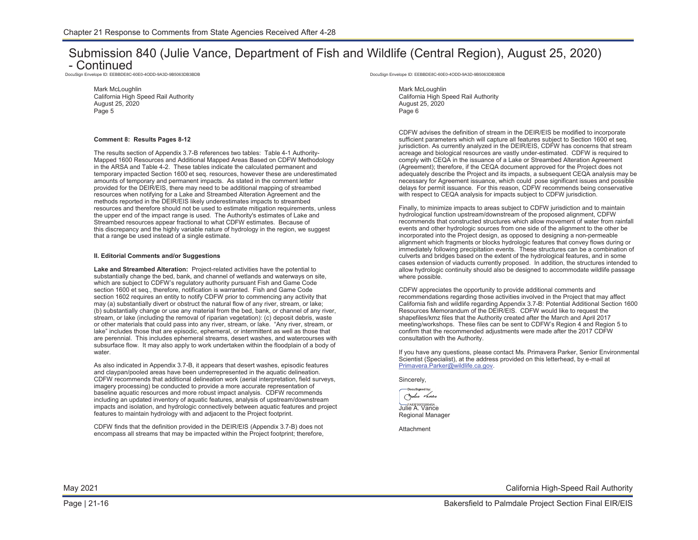DocuSign Envelope ID: EEBBDE8C-60E0-4ODD-9A3D-9B5063DB3BDB

Mark McLoughlin California High Speed Rail Authority August 25, 2020 Page 5

#### **Comment 8: Results Pages 8-12**

The results section of Appendix 3.7-B references two tables: Table 4-1 Authority-Mapped 1600 Resources and Additional Mapped Areas Based on CDFW Methodology in the ARSA and Table 4-2. These tables indicate the calculated permanent and temporary impacted Section 1600 et seq. resources, however these are underestimated amounts of temporary and permanent impacts. As stated in the comment letter provided for the DEIR/EIS, there may need to be additional mapping of streambed resources when notifying for a Lake and Streambed Alteration Agreement and the methods reported in the DEIR/EIS likely underestimates impacts to streambed resources and therefore should not be used to estimate mitigation requirements, unless the upper end of the impact range is used. The Authority's estimates of Lake and Streambed resources appear fractional to what CDFW estimates. Because of this discrepancy and the highly variable nature of hydrology in the region, we suggest that a range be used instead of a single estimate.

#### **II. Editorial Comments and/or Suggestions**

**Lake and Streambed Alteration:** Project-related activities have the potential to substantially change the bed, bank, and channel of wetlands and waterways on site, which are subject to CDFW's regulatory authority pursuant Fish and Game Code section 1600 et seq., therefore, notification is warranted. Fish and Game Code section 1602 requires an entity to notify CDFW prior to commencing any activity that may (a) substantially divert or obstruct the natural flow of any river, stream, or lake; (b) substantially change or use any material from the bed, bank, or channel of any river, stream, or lake (including the removal of riparian vegetation): (c) deposit debris, waste or other materials that could pass into any river, stream, or lake. "Any river, stream, or lake" includes those that are episodic, ephemeral, or intermittent as well as those that are perennial. This includes ephemeral streams, desert washes, and watercourses with subsurface flow. It may also apply to work undertaken within the floodplain of a body of water

As also indicated in Appendix 3.7-B, it appears that desert washes, episodic features and claypan/pooled areas have been underrepresented in the aquatic delineation. CDFW recommends that additional delineation work (aerial interpretation, field surveys, imagery processing) be conducted to provide a more accurate representation of baseline aquatic resources and more robust impact analysis. CDFW recommends including an updated inventory of aquatic features, analysis of upstream/downstream impacts and isolation, and hydrologic connectively between aquatic features and project features to maintain hydrology with and adjacent to the Project footprint.

CDFW finds that the definition provided in the DEIR/EIS (Appendix 3.7-B) does not encompass all streams that may be impacted within the Project footprint; therefore, DocuSign Envelope ID: EEBBDE8C-60E0-4ODD-9A3D-9B5063DB3BDB

Mark McLoughlin California High Speed Rail Authority August 25, 2020 Page 6

CDFW advises the definition of stream in the DEIR/EIS be modified to incorporate sufficient parameters which will capture all features subject to Section 1600 et seq. jurisdiction. As currently analyzed in the DEIR/EIS, CDFW has concerns that stream acreage and biological resources are vastly under-estimated. CDFW is required to comply with CEQA in the issuance of a Lake or Streambed Alteration Agreement (Agreement); therefore, if the CEQA document approved for the Project does not adequately describe the Project and its impacts, a subsequent CEQA analysis may be necessary for Agreement issuance, which could pose significant issues and possible delays for permit issuance. For this reason, CDFW recommends being conservative with respect to CEQA analysis for impacts subject to CDFW jurisdiction.

Finally, to minimize impacts to areas subject to CDFW jurisdiction and to maintain hydrological function upstream/downstream of the proposed alignment, CDFW recommends that constructed structures which allow movement of water from rainfall events and other hydrologic sources from one side of the alignment to the other be incorporated into the Project design, as opposed to designing a non-permeable alignment which fragments or blocks hydrologic features that convey flows during or immediately following precipitation events. These structures can be a combination of culverts and bridges based on the extent of the hydrological features, and in some cases extension of viaducts currently proposed. In addition, the structures intended to allow hydrologic continuity should also be designed to accommodate wildlife passage where possible.

CDFW appreciates the opportunity to provide additional comments and recommendations regarding those activities involved in the Project that may affect California fish and wildlife regarding Appendix 3.7-B: Potential Additional Section 1600 Resources Memorandum of the DEIR/EIS. CDFW would like to request the shapefiles/kmz files that the Authority created after the March and April 2017 meeting/workshops. These files can be sent to CDFW's Region 4 and Region 5 to confirm that the recommended adjustments were made after the 2017 CDFW consultation with the Authority.

If you have any questions, please contact Ms. Primavera Parker, Senior Environmental Scientist (Specialist), at the address provided on this letterhead, by e-mail at [Primavera.Parker@wildlife.ca.gov.](mailto:Primavera.Parker@wildlife.ca.gov)

Sincerely, DocuSigned by Julie Vance Julie A. Vance Regional Manager

Attachment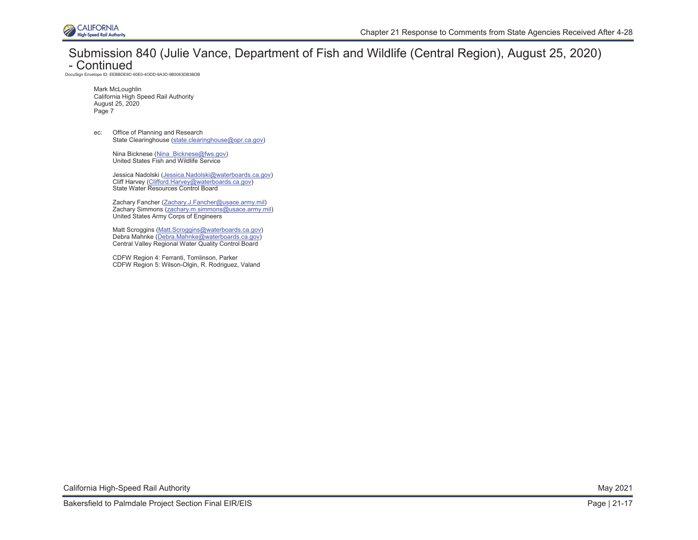

DocuSign Envelope ID: EEBBDE8C-60E0-4ODD-9A3D-9B5063DB3BDB

Mark McLoughlin California High Speed Rail Authority August 25, 2020 Page 7

ec: Office of Planning and Research State Clearinghouse [\(state.clearinghouse@opr.ca.gov\)](mailto:state.clearinghouse@opr.ca.gov)

> Nina Bicknese [\(Nina\\_Bicknese@fws.gov\)](mailto:Nina_Bicknese@fws.gov) United States Fish and Wildlife Service

Jessica Nadolski [\(Jessica.Nadolski@waterboards.ca.gov\)](mailto:Jessica.Nadolski@waterboards.ca.gov) Cliff Harvey [\(Clifford.Harvey@waterboards.ca.gov\)](mailto:Clifford.Harvey@waterboards.ca.gov) State Water Resources Control Board

Zachary Fancher [\(Zachary.J.Fancher@usace.army.mil\)](mailto:Zachary.J.Fancher@usace.army.mil) Zachary Simmons [\(zachary.m.simmons@usace.army.mil\)](mailto:zachary.m.simmons@usace.army.mil) United States Army Corps of Engineers

Matt Scroggins [\(Matt.Scroggins@waterboards.ca.gov\)](mailto:Matt.Scroggins@waterboards.ca.gov) Debra Mahnke [\(Debra.Mahnke@waterboards.ca.gov\)](mailto:Debra.Mahnke@waterboards.ca.gov) Central Valley Regional Water Quality Control Board

CDFW Region 4: Ferranti, Tomlinson, Parker CDFW Region 5: Wilson-Olgin, R. Rodriguez, Valand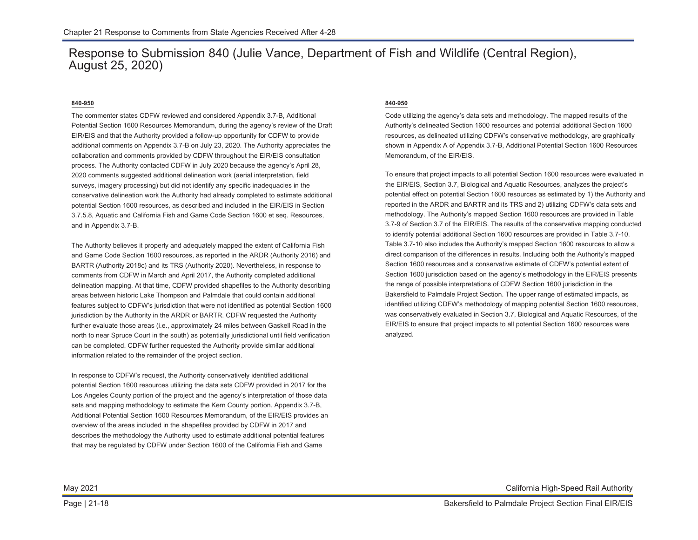## **840-950**

The commenter states CDFW reviewed and considered Appendix 3.7-B, Additional Potential Section 1600 Resources Memorandum, during the agency's review of the Draft EIR/EIS and that the Authority provided a follow-up opportunity for CDFW to provide additional comments on Appendix 3.7-B on July 23, 2020. The Authority appreciates the collaboration and comments provided by CDFW throughout the EIR/EIS consultation process. The Authority contacted CDFW in July 2020 because the agency's April 28, 2020 comments suggested additional delineation work (aerial interpretation, field surveys, imagery processing) but did not identify any specific inadequacies in the conservative delineation work the Authority had already completed to estimate additional potential Section 1600 resources, as described and included in the EIR/EIS in Section 3.7.5.8, Aquatic and California Fish and Game Code Section 1600 et seq. Resources, and in Appendix 3.7-B.

The Authority believes it properly and adequately mapped the extent of California Fish and Game Code Section 1600 resources, as reported in the ARDR (Authority 2016) and BARTR (Authority 2018c) and its TRS (Authority 2020). Nevertheless, in response to comments from CDFW in March and April 2017, the Authority completed additional delineation mapping. At that time, CDFW provided shapefiles to the Authority describing areas between historic Lake Thompson and Palmdale that could contain additional features subject to CDFW's jurisdiction that were not identified as potential Section 1600 jurisdiction by the Authority in the ARDR or BARTR. CDFW requested the Authority further evaluate those areas (i.e., approximately 24 miles between Gaskell Road in the north to near Spruce Court in the south) as potentially jurisdictional until field verification can be completed. CDFW further requested the Authority provide similar additional information related to the remainder of the project section.

In response to CDFW's request, the Authority conservatively identified additional potential Section 1600 resources utilizing the data sets CDFW provided in 2017 for the Los Angeles County portion of the project and the agency's interpretation of those data sets and mapping methodology to estimate the Kern County portion. Appendix 3.7-B, Additional Potential Section 1600 Resources Memorandum, of the EIR/EIS provides an overview of the areas included in the shapefiles provided by CDFW in 2017 and describes the methodology the Authority used to estimate additional potential features that may be regulated by CDFW under Section 1600 of the California Fish and Game

## **840-950**

Code utilizing the agency's data sets and methodology. The mapped results of the Authority's delineated Section 1600 resources and potential additional Section 1600 resources, as delineated utilizing CDFW's conservative methodology, are graphically shown in Appendix A of Appendix 3.7-B, Additional Potential Section 1600 Resources Memorandum, of the EIR/EIS.

To ensure that project impacts to all potential Section 1600 resources were evaluated in the EIR/EIS, Section 3.7, Biological and Aquatic Resources, analyzes the project's potential effect on potential Section 1600 resources as estimated by 1) the Authority and reported in the ARDR and BARTR and its TRS and 2) utilizing CDFW's data sets and methodology. The Authority's mapped Section 1600 resources are provided in Table 3.7-9 of Section 3.7 of the EIR/EIS. The results of the conservative mapping conducted to identify potential additional Section 1600 resources are provided in Table 3.7-10. Table 3.7-10 also includes the Authority's mapped Section 1600 resources to allow a direct comparison of the differences in results. Including both the Authority's mapped Section 1600 resources and a conservative estimate of CDFW's potential extent of Section 1600 jurisdiction based on the agency's methodology in the EIR/EIS presents the range of possible interpretations of CDFW Section 1600 jurisdiction in the Bakersfield to Palmdale Project Section. The upper range of estimated impacts, as identified utilizing CDFW's methodology of mapping potential Section 1600 resources, was conservatively evaluated in Section 3.7, Biological and Aquatic Resources, of the EIR/EIS to ensure that project impacts to all potential Section 1600 resources were analyzed.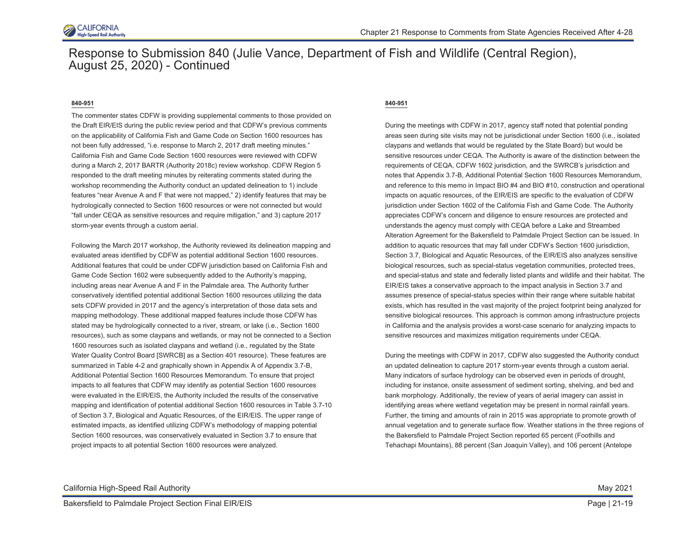

## **840-951**

The commenter states CDFW is providing supplemental comments to those provided on the Draft EIR/EIS during the public review period and that CDFW's previous comments on the applicability of California Fish and Game Code on Section 1600 resources has not been fully addressed, "i.e. response to March 2, 2017 draft meeting minutes." California Fish and Game Code Section 1600 resources were reviewed with CDFW during a March 2, 2017 BARTR (Authority 2018c) review workshop. CDFW Region 5 responded to the draft meeting minutes by reiterating comments stated during the workshop recommending the Authority conduct an updated delineation to 1) include features "near Avenue A and F that were not mapped," 2) identify features that may be hydrologically connected to Section 1600 resources or were not connected but would "fall under CEQA as sensitive resources and require mitigation," and 3) capture 2017 storm-year events through a custom aerial.

Following the March 2017 workshop, the Authority reviewed its delineation mapping and evaluated areas identified by CDFW as potential additional Section 1600 resources. Additional features that could be under CDFW jurisdiction based on California Fish and Game Code Section 1602 were subsequently added to the Authority's mapping, including areas near Avenue A and F in the Palmdale area. The Authority further conservatively identified potential additional Section 1600 resources utilizing the data sets CDFW provided in 2017 and the agency's interpretation of those data sets and mapping methodology. These additional mapped features include those CDFW has stated may be hydrologically connected to a river, stream, or lake (i.e., Section 1600 resources), such as some claypans and wetlands, or may not be connected to a Section 1600 resources such as isolated claypans and wetland (i.e., regulated by the State Water Quality Control Board [SWRCB] as a Section 401 resource). These features are summarized in Table 4-2 and graphically shown in Appendix A of Appendix 3.7-B, Additional Potential Section 1600 Resources Memorandum. To ensure that project impacts to all features that CDFW may identify as potential Section 1600 resources were evaluated in the EIR/EIS, the Authority included the results of the conservative mapping and identification of potential additional Section 1600 resources in Table 3.7-10 of Section 3.7, Biological and Aquatic Resources, of the EIR/EIS. The upper range of estimated impacts, as identified utilizing CDFW's methodology of mapping potential Section 1600 resources, was conservatively evaluated in Section 3.7 to ensure that project impacts to all potential Section 1600 resources were analyzed.

## **840-951**

During the meetings with CDFW in 2017, agency staff noted that potential ponding areas seen during site visits may not be jurisdictional under Section 1600 (i.e., isolated claypans and wetlands that would be regulated by the State Board) but would be sensitive resources under CEQA. The Authority is aware of the distinction between the requirements of CEQA, CDFW 1602 jurisdiction, and the SWRCB's jurisdiction and notes that Appendix 3.7-B, Additional Potential Section 1600 Resources Memorandum, and reference to this memo in Impact BIO #4 and BIO #10, construction and operational impacts on aquatic resources, of the EIR/EIS are specific to the evaluation of CDFW jurisdiction under Section 1602 of the California Fish and Game Code. The Authority appreciates CDFW's concern and diligence to ensure resources are protected and understands the agency must comply with CEQA before a Lake and Streambed Alteration Agreement for the Bakersfield to Palmdale Project Section can be issued. In addition to aquatic resources that may fall under CDFW's Section 1600 jurisdiction, Section 3.7, Biological and Aquatic Resources, of the EIR/EIS also analyzes sensitive biological resources, such as special-status vegetation communities, protected trees, and special-status and state and federally listed plants and wildlife and their habitat. The EIR/EIS takes a conservative approach to the impact analysis in Section 3.7 and assumes presence of special-status species within their range where suitable habitat exists, which has resulted in the vast majority of the project footprint being analyzed for sensitive biological resources. This approach is common among infrastructure projects in California and the analysis provides a worst-case scenario for analyzing impacts to sensitive resources and maximizes mitigation requirements under CEQA.

During the meetings with CDFW in 2017, CDFW also suggested the Authority conduct an updated delineation to capture 2017 storm-year events through a custom aerial. Many indicators of surface hydrology can be observed even in periods of drought, including for instance, onsite assessment of sediment sorting, shelving, and bed and bank morphology. Additionally, the review of years of aerial imagery can assist in identifying areas where wetland vegetation may be present in normal rainfall years. Further, the timing and amounts of rain in 2015 was appropriate to promote growth of annual vegetation and to generate surface flow. Weather stations in the three regions of the Bakersfield to Palmdale Project Section reported 65 percent (Foothills and Tehachapi Mountains), 88 percent (San Joaquin Valley), and 106 percent (Antelope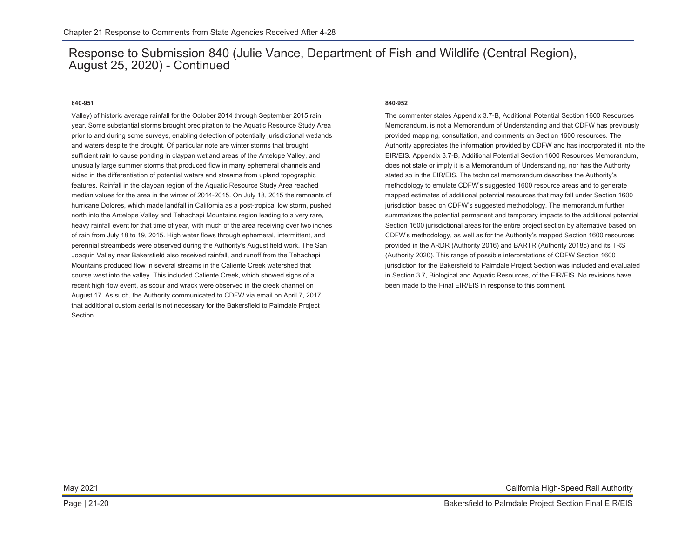## **840-951**

Valley) of historic average rainfall for the October 2014 through September 2015 rain year. Some substantial storms brought precipitation to the Aquatic Resource Study Area prior to and during some surveys, enabling detection of potentially jurisdictional wetlands and waters despite the drought. Of particular note are winter storms that brought sufficient rain to cause ponding in claypan wetland areas of the Antelope Valley, and unusually large summer storms that produced flow in many ephemeral channels and aided in the differentiation of potential waters and streams from upland topographic features. Rainfall in the claypan region of the Aquatic Resource Study Area reached median values for the area in the winter of 2014-2015. On July 18, 2015 the remnants of hurricane Dolores, which made landfall in California as a post-tropical low storm, pushed north into the Antelope Valley and Tehachapi Mountains region leading to a very rare, heavy rainfall event for that time of year, with much of the area receiving over two inches of rain from July 18 to 19, 2015. High water flows through ephemeral, intermittent, and perennial streambeds were observed during the Authority's August field work. The San Joaquin Valley near Bakersfield also received rainfall, and runoff from the Tehachapi Mountains produced flow in several streams in the Caliente Creek watershed that course west into the valley. This included Caliente Creek, which showed signs of a recent high flow event, as scour and wrack were observed in the creek channel on August 17. As such, the Authority communicated to CDFW via email on April 7, 2017 that additional custom aerial is not necessary for the Bakersfield to Palmdale Project Section.

## **840-952**

The commenter states Appendix 3.7-B, Additional Potential Section 1600 Resources Memorandum, is not a Memorandum of Understanding and that CDFW has previously provided mapping, consultation, and comments on Section 1600 resources. The Authority appreciates the information provided by CDFW and has incorporated it into the EIR/EIS. Appendix 3.7-B, Additional Potential Section 1600 Resources Memorandum, does not state or imply it is a Memorandum of Understanding, nor has the Authority stated so in the EIR/EIS. The technical memorandum describes the Authority's methodology to emulate CDFW's suggested 1600 resource areas and to generate mapped estimates of additional potential resources that may fall under Section 1600 jurisdiction based on CDFW's suggested methodology. The memorandum further summarizes the potential permanent and temporary impacts to the additional potential Section 1600 jurisdictional areas for the entire project section by alternative based on CDFW's methodology, as well as for the Authority's mapped Section 1600 resources provided in the ARDR (Authority 2016) and BARTR (Authority 2018c) and its TRS (Authority 2020). This range of possible interpretations of CDFW Section 1600 jurisdiction for the Bakersfield to Palmdale Project Section was included and evaluated in Section 3.7, Biological and Aquatic Resources, of the EIR/EIS. No revisions have been made to the Final EIR/EIS in response to this comment.

May 2021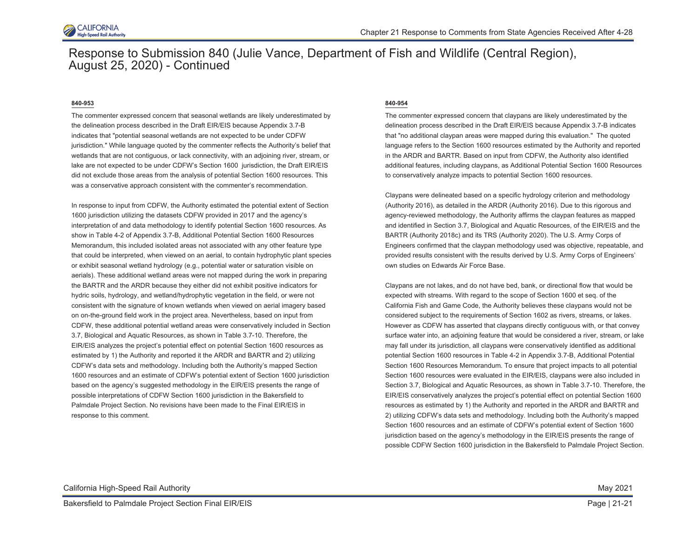

## **840-953**

The commenter expressed concern that seasonal wetlands are likely underestimated by the delineation process described in the Draft EIR/EIS because Appendix 3.7-B indicates that "potential seasonal wetlands are not expected to be under CDFW jurisdiction." While language quoted by the commenter reflects the Authority's belief that wetlands that are not contiguous, or lack connectivity, with an adjoining river, stream, or lake are not expected to be under CDFW's Section 1600 jurisdiction, the Draft EIR/EIS did not exclude those areas from the analysis of potential Section 1600 resources. This was a conservative approach consistent with the commenter's recommendation.

In response to input from CDFW, the Authority estimated the potential extent of Section 1600 jurisdiction utilizing the datasets CDFW provided in 2017 and the agency's interpretation of and data methodology to identify potential Section 1600 resources. As show in Table 4-2 of Appendix 3.7-B, Additional Potential Section 1600 Resources Memorandum, this included isolated areas not associated with any other feature type that could be interpreted, when viewed on an aerial, to contain hydrophytic plant species or exhibit seasonal wetland hydrology (e.g., potential water or saturation visible on aerials). These additional wetland areas were not mapped during the work in preparing the BARTR and the ARDR because they either did not exhibit positive indicators for hydric soils, hydrology, and wetland/hydrophytic vegetation in the field, or were not consistent with the signature of known wetlands when viewed on aerial imagery based on on-the-ground field work in the project area. Nevertheless, based on input from CDFW, these additional potential wetland areas were conservatively included in Section 3.7, Biological and Aquatic Resources, as shown in Table 3.7-10. Therefore, the EIR/EIS analyzes the project's potential effect on potential Section 1600 resources as estimated by 1) the Authority and reported it the ARDR and BARTR and 2) utilizing CDFW's data sets and methodology. Including both the Authority's mapped Section 1600 resources and an estimate of CDFW's potential extent of Section 1600 jurisdiction based on the agency's suggested methodology in the EIR/EIS presents the range of possible interpretations of CDFW Section 1600 jurisdiction in the Bakersfield to Palmdale Project Section. No revisions have been made to the Final EIR/EIS in response to this comment.

### **840-954**

The commenter expressed concern that claypans are likely underestimated by the delineation process described in the Draft EIR/EIS because Appendix 3.7-B indicates that "no additional claypan areas were mapped during this evaluation." The quoted language refers to the Section 1600 resources estimated by the Authority and reported in the ARDR and BARTR. Based on input from CDFW, the Authority also identified additional features, including claypans, as Additional Potential Section 1600 Resources to conservatively analyze impacts to potential Section 1600 resources.

Claypans were delineated based on a specific hydrology criterion and methodology (Authority 2016), as detailed in the ARDR (Authority 2016). Due to this rigorous and agency-reviewed methodology, the Authority affirms the claypan features as mapped and identified in Section 3.7, Biological and Aquatic Resources, of the EIR/EIS and the BARTR (Authority 2018c) and its TRS (Authority 2020). The U.S. Army Corps of Engineers confirmed that the claypan methodology used was objective, repeatable, and provided results consistent with the results derived by U.S. Army Corps of Engineers' own studies on Edwards Air Force Base.

Claypans are not lakes, and do not have bed, bank, or directional flow that would be expected with streams. With regard to the scope of Section 1600 et seq. of the California Fish and Game Code, the Authority believes these claypans would not be considered subject to the requirements of Section 1602 as rivers, streams, or lakes. However as CDFW has asserted that claypans directly contiguous with, or that convey surface water into, an adjoining feature that would be considered a river, stream, or lake may fall under its jurisdiction, all claypans were conservatively identified as additional potential Section 1600 resources in Table 4-2 in Appendix 3.7-B, Additional Potential Section 1600 Resources Memorandum. To ensure that project impacts to all potential Section 1600 resources were evaluated in the EIR/EIS, claypans were also included in Section 3.7, Biological and Aquatic Resources, as shown in Table 3.7-10. Therefore, the EIR/EIS conservatively analyzes the project's potential effect on potential Section 1600 resources as estimated by 1) the Authority and reported in the ARDR and BARTR and 2) utilizing CDFW's data sets and methodology. Including both the Authority's mapped Section 1600 resources and an estimate of CDFW's potential extent of Section 1600 jurisdiction based on the agency's methodology in the EIR/EIS presents the range of possible CDFW Section 1600 jurisdiction in the Bakersfield to Palmdale Project Section.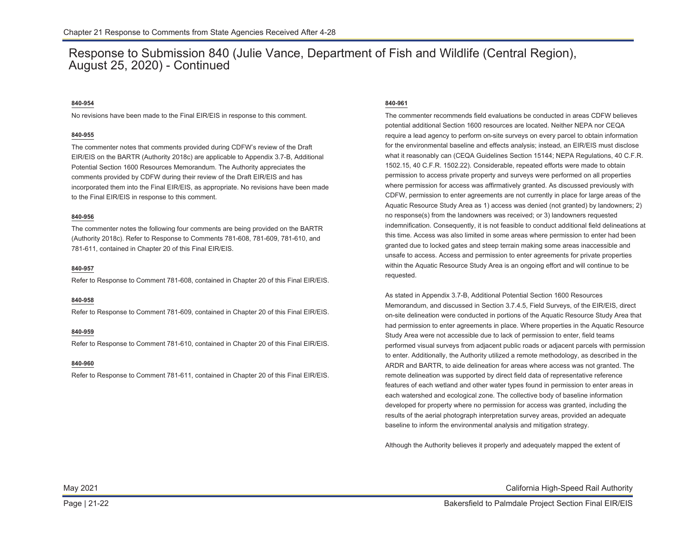## **840-954**

No revisions have been made to the Final EIR/EIS in response to this comment.

## **840-955**

The commenter notes that comments provided during CDFW's review of the Draft EIR/EIS on the BARTR (Authority 2018c) are applicable to Appendix 3.7-B, Additional Potential Section 1600 Resources Memorandum. The Authority appreciates the comments provided by CDFW during their review of the Draft EIR/EIS and has incorporated them into the Final EIR/EIS, as appropriate. No revisions have been made to the Final EIR/EIS in response to this comment.

## **840-956**

The commenter notes the following four comments are being provided on the BARTR (Authority 2018c). Refer to Response to Comments 781-608, 781-609, 781-610, and 781-611, contained in Chapter 20 of this Final EIR/EIS.

## **840-957**

Refer to Response to Comment 781-608, contained in Chapter 20 of this Final EIR/EIS.

## **840-958**

Refer to Response to Comment 781-609, contained in Chapter 20 of this Final EIR/EIS.

## **840-959**

Refer to Response to Comment 781-610, contained in Chapter 20 of this Final EIR/EIS.

## **840-960**

Refer to Response to Comment 781-611, contained in Chapter 20 of this Final EIR/EIS.

## **840-961**

The commenter recommends field evaluations be conducted in areas CDFW believes potential additional Section 1600 resources are located. Neither NEPA nor CEQA require a lead agency to perform on-site surveys on every parcel to obtain information for the environmental baseline and effects analysis; instead, an EIR/EIS must disclose what it reasonably can (CEQA Guidelines Section 15144; NEPA Regulations, 40 C.F.R. 1502.15, 40 C.F.R. 1502.22). Considerable, repeated efforts were made to obtain permission to access private property and surveys were performed on all properties where permission for access was affirmatively granted. As discussed previously with CDFW, permission to enter agreements are not currently in place for large areas of the Aquatic Resource Study Area as 1) access was denied (not granted) by landowners; 2) no response(s) from the landowners was received; or 3) landowners requested indemnification. Consequently, it is not feasible to conduct additional field delineations at this time. Access was also limited in some areas where permission to enter had been granted due to locked gates and steep terrain making some areas inaccessible and unsafe to access. Access and permission to enter agreements for private properties within the Aquatic Resource Study Area is an ongoing effort and will continue to be requested.

As stated in Appendix 3.7-B, Additional Potential Section 1600 Resources Memorandum, and discussed in Section 3.7.4.5, Field Surveys, of the EIR/EIS, direct on-site delineation were conducted in portions of the Aquatic Resource Study Area that had permission to enter agreements in place. Where properties in the Aquatic Resource Study Area were not accessible due to lack of permission to enter, field teams performed visual surveys from adjacent public roads or adjacent parcels with permission to enter. Additionally, the Authority utilized a remote methodology, as described in the ARDR and BARTR, to aide delineation for areas where access was not granted. The remote delineation was supported by direct field data of representative reference features of each wetland and other water types found in permission to enter areas in each watershed and ecological zone. The collective body of baseline information developed for property where no permission for access was granted, including the results of the aerial photograph interpretation survey areas, provided an adequate baseline to inform the environmental analysis and mitigation strategy.

Although the Authority believes it properly and adequately mapped the extent of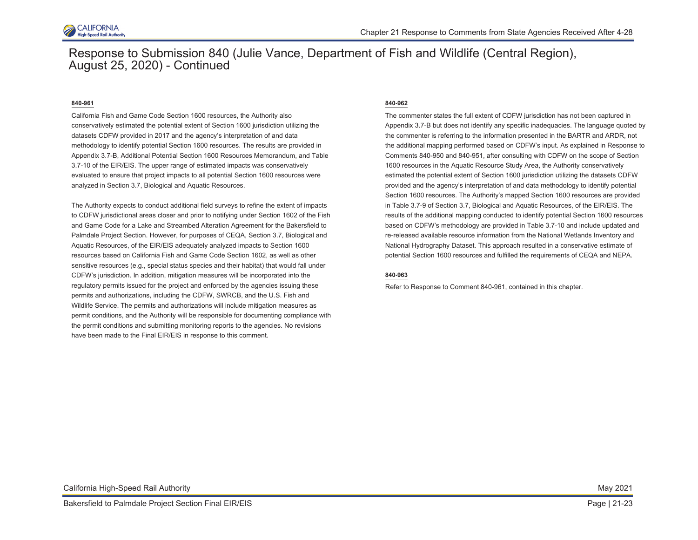

## **840-961**

California Fish and Game Code Section 1600 resources, the Authority also conservatively estimated the potential extent of Section 1600 jurisdiction utilizing the datasets CDFW provided in 2017 and the agency's interpretation of and data methodology to identify potential Section 1600 resources. The results are provided in Appendix 3.7-B, Additional Potential Section 1600 Resources Memorandum, and Table 3.7-10 of the EIR/EIS. The upper range of estimated impacts was conservatively evaluated to ensure that project impacts to all potential Section 1600 resources were analyzed in Section 3.7, Biological and Aquatic Resources.

The Authority expects to conduct additional field surveys to refine the extent of impacts to CDFW jurisdictional areas closer and prior to notifying under Section 1602 of the Fish and Game Code for a Lake and Streambed Alteration Agreement for the Bakersfield to Palmdale Project Section. However, for purposes of CEQA, Section 3.7, Biological and Aquatic Resources, of the EIR/EIS adequately analyzed impacts to Section 1600 resources based on California Fish and Game Code Section 1602, as well as other sensitive resources (e.g., special status species and their habitat) that would fall under CDFW's jurisdiction. In addition, mitigation measures will be incorporated into the regulatory permits issued for the project and enforced by the agencies issuing these permits and authorizations, including the CDFW, SWRCB, and the U.S. Fish and Wildlife Service. The permits and authorizations will include mitigation measures as permit conditions, and the Authority will be responsible for documenting compliance with the permit conditions and submitting monitoring reports to the agencies. No revisions have been made to the Final EIR/EIS in response to this comment.

## **840-962**

The commenter states the full extent of CDFW jurisdiction has not been captured in Appendix 3.7-B but does not identify any specific inadequacies. The language quoted by the commenter is referring to the information presented in the BARTR and ARDR, not the additional mapping performed based on CDFW's input. As explained in Response to Comments 840-950 and 840-951, after consulting with CDFW on the scope of Section 1600 resources in the Aquatic Resource Study Area, the Authority conservatively estimated the potential extent of Section 1600 jurisdiction utilizing the datasets CDFW provided and the agency's interpretation of and data methodology to identify potential Section 1600 resources. The Authority's mapped Section 1600 resources are provided in Table 3.7-9 of Section 3.7, Biological and Aquatic Resources, of the EIR/EIS. The results of the additional mapping conducted to identify potential Section 1600 resources based on CDFW's methodology are provided in Table 3.7-10 and include updated and re-released available resource information from the National Wetlands Inventory and National Hydrography Dataset. This approach resulted in a conservative estimate of potential Section 1600 resources and fulfilled the requirements of CEQA and NEPA.

## **840-963**

Refer to Response to Comment 840-961, contained in this chapter.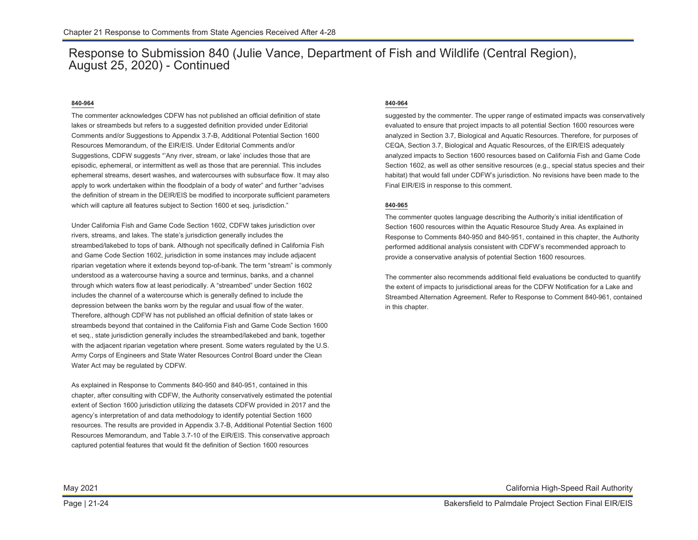## **840-964**

The commenter acknowledges CDFW has not published an official definition of state lakes or streambeds but refers to a suggested definition provided under Editorial Comments and/or Suggestions to Appendix 3.7-B, Additional Potential Section 1600 Resources Memorandum, of the EIR/EIS. Under Editorial Comments and/or Suggestions, CDFW suggests "'Any river, stream, or lake' includes those that are episodic, ephemeral, or intermittent as well as those that are perennial. This includes ephemeral streams, desert washes, and watercourses with subsurface flow. It may also apply to work undertaken within the floodplain of a body of water" and further "advises the definition of stream in the DEIR/EIS be modified to incorporate sufficient parameters which will capture all features subject to Section 1600 et seq. jurisdiction."

Under California Fish and Game Code Section 1602, CDFW takes jurisdiction over rivers, streams, and lakes. The state's jurisdiction generally includes the streambed/lakebed to tops of bank. Although not specifically defined in California Fish and Game Code Section 1602, jurisdiction in some instances may include adjacent riparian vegetation where it extends beyond top-of-bank. The term "stream" is commonly understood as a watercourse having a source and terminus, banks, and a channel through which waters flow at least periodically. A "streambed" under Section 1602 includes the channel of a watercourse which is generally defined to include the depression between the banks worn by the regular and usual flow of the water. Therefore, although CDFW has not published an official definition of state lakes or streambeds beyond that contained in the California Fish and Game Code Section 1600 et seq., state jurisdiction generally includes the streambed/lakebed and bank, together with the adjacent riparian vegetation where present. Some waters regulated by the U.S. Army Corps of Engineers and State Water Resources Control Board under the Clean Water Act may be regulated by CDFW.

As explained in Response to Comments 840-950 and 840-951, contained in this chapter, after consulting with CDFW, the Authority conservatively estimated the potential extent of Section 1600 jurisdiction utilizing the datasets CDFW provided in 2017 and the agency's interpretation of and data methodology to identify potential Section 1600 resources. The results are provided in Appendix 3.7-B, Additional Potential Section 1600 Resources Memorandum, and Table 3.7-10 of the EIR/EIS. This conservative approach captured potential features that would fit the definition of Section 1600 resources

## **840-964**

suggested by the commenter. The upper range of estimated impacts was conservatively evaluated to ensure that project impacts to all potential Section 1600 resources were analyzed in Section 3.7, Biological and Aquatic Resources. Therefore, for purposes of CEQA, Section 3.7, Biological and Aquatic Resources, of the EIR/EIS adequately analyzed impacts to Section 1600 resources based on California Fish and Game Code Section 1602, as well as other sensitive resources (e.g., special status species and their habitat) that would fall under CDFW's jurisdiction. No revisions have been made to the Final EIR/EIS in response to this comment.

## **840-965**

The commenter quotes language describing the Authority's initial identification of Section 1600 resources within the Aquatic Resource Study Area. As explained in Response to Comments 840-950 and 840-951, contained in this chapter, the Authority performed additional analysis consistent with CDFW's recommended approach to provide a conservative analysis of potential Section 1600 resources.

The commenter also recommends additional field evaluations be conducted to quantify the extent of impacts to jurisdictional areas for the CDFW Notification for a Lake and Streambed Alternation Agreement. Refer to Response to Comment 840-961, contained in this chapter.